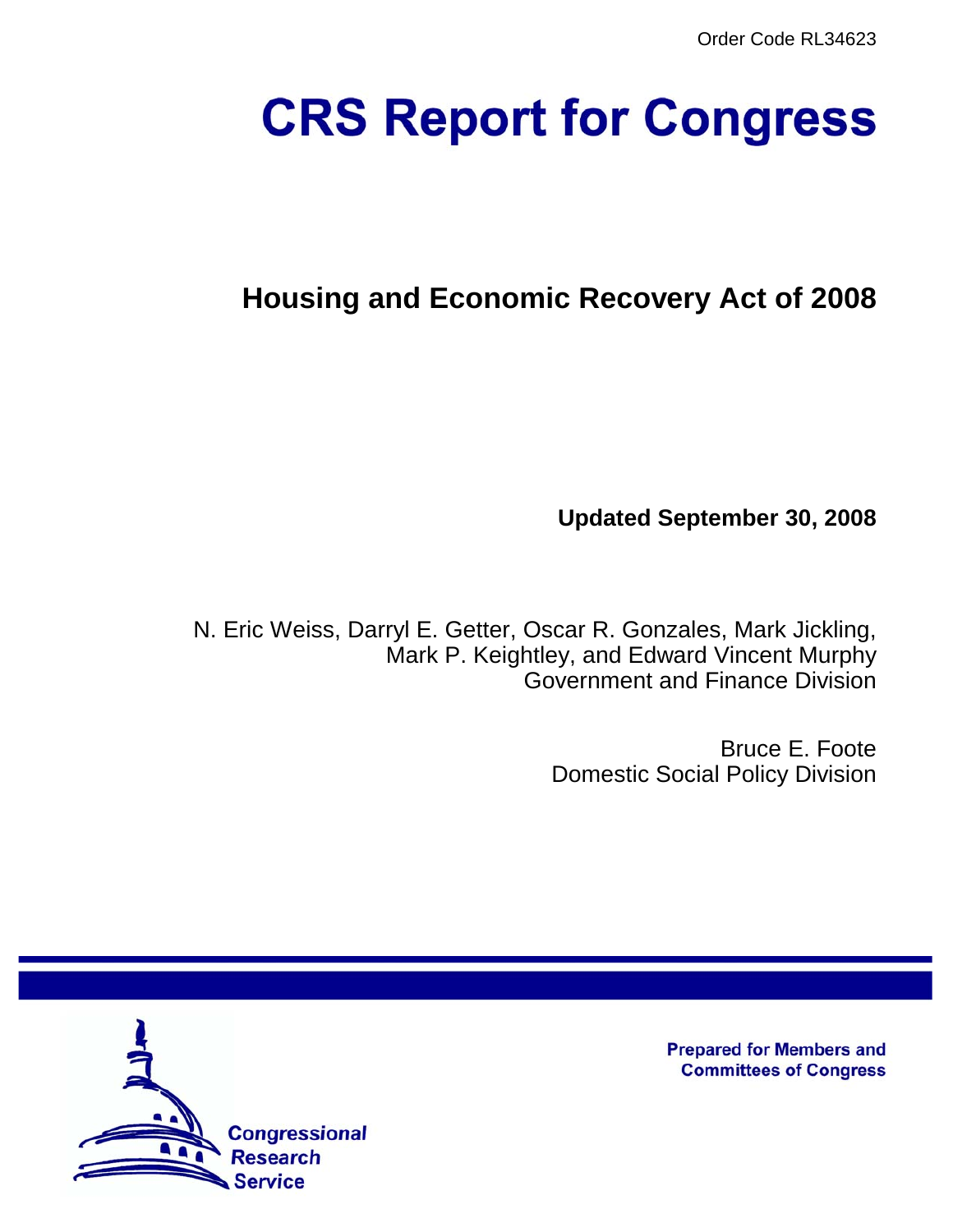# **CRS Report for Congress**

# **Housing and Economic Recovery Act of 2008**

**Updated September 30, 2008**

N. Eric Weiss, Darryl E. Getter, Oscar R. Gonzales, Mark Jickling, Mark P. Keightley, and Edward Vincent Murphy Government and Finance Division

> Bruce E. Foote Domestic Social Policy Division



**Prepared for Members and Committees of Congress**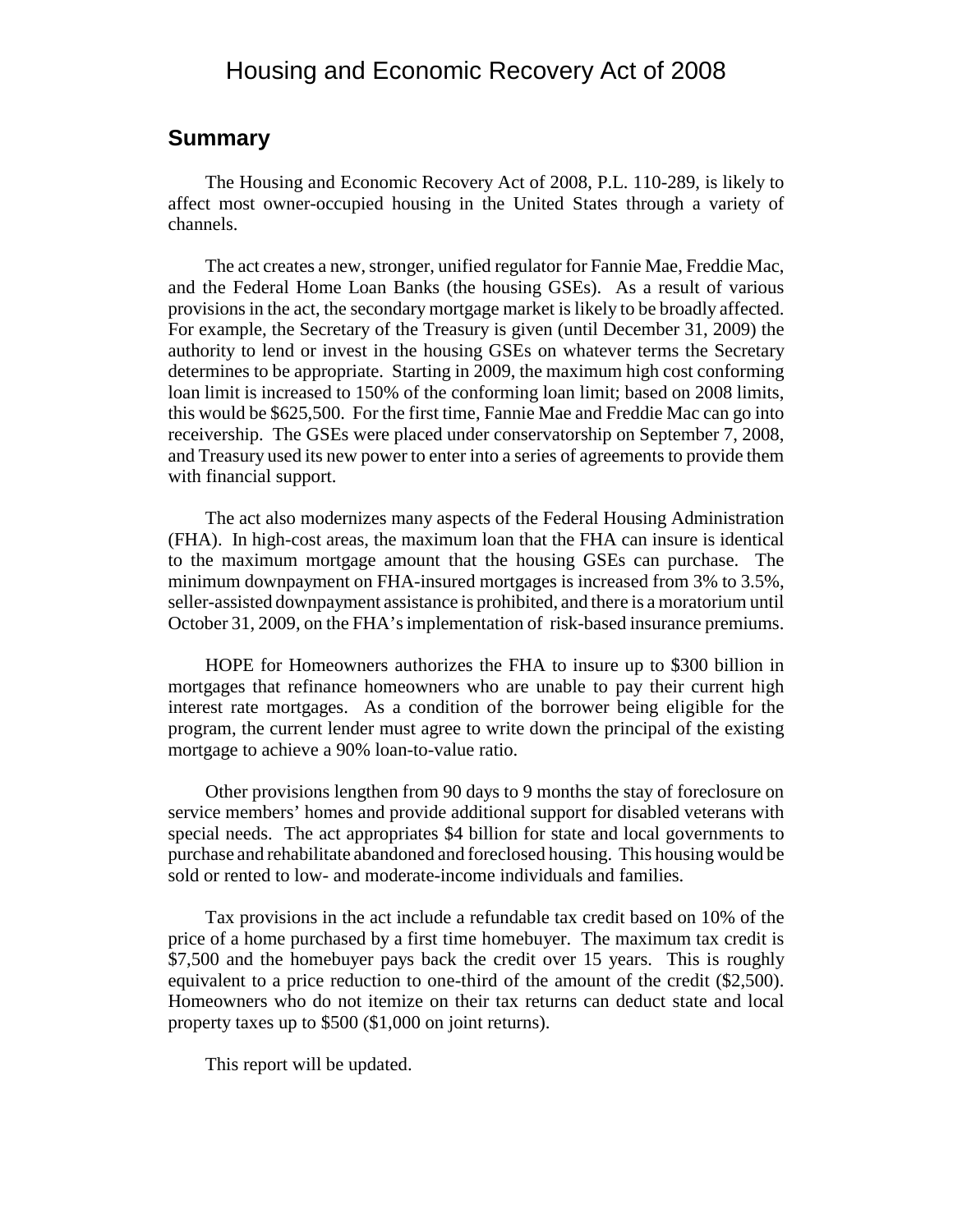# Housing and Economic Recovery Act of 2008

#### **Summary**

The Housing and Economic Recovery Act of 2008, P.L. 110-289, is likely to affect most owner-occupied housing in the United States through a variety of channels.

The act creates a new, stronger, unified regulator for Fannie Mae, Freddie Mac, and the Federal Home Loan Banks (the housing GSEs). As a result of various provisions in the act, the secondary mortgage market is likely to be broadly affected. For example, the Secretary of the Treasury is given (until December 31, 2009) the authority to lend or invest in the housing GSEs on whatever terms the Secretary determines to be appropriate. Starting in 2009, the maximum high cost conforming loan limit is increased to 150% of the conforming loan limit; based on 2008 limits, this would be \$625,500. For the first time, Fannie Mae and Freddie Mac can go into receivership. The GSEs were placed under conservatorship on September 7, 2008, and Treasury used its new power to enter into a series of agreements to provide them with financial support.

The act also modernizes many aspects of the Federal Housing Administration (FHA). In high-cost areas, the maximum loan that the FHA can insure is identical to the maximum mortgage amount that the housing GSEs can purchase. The minimum downpayment on FHA-insured mortgages is increased from 3% to 3.5%, seller-assisted downpayment assistance is prohibited, and there is a moratorium until October 31, 2009, on the FHA's implementation of risk-based insurance premiums.

HOPE for Homeowners authorizes the FHA to insure up to \$300 billion in mortgages that refinance homeowners who are unable to pay their current high interest rate mortgages. As a condition of the borrower being eligible for the program, the current lender must agree to write down the principal of the existing mortgage to achieve a 90% loan-to-value ratio.

Other provisions lengthen from 90 days to 9 months the stay of foreclosure on service members' homes and provide additional support for disabled veterans with special needs. The act appropriates \$4 billion for state and local governments to purchase and rehabilitate abandoned and foreclosed housing. This housing would be sold or rented to low- and moderate-income individuals and families.

Tax provisions in the act include a refundable tax credit based on 10% of the price of a home purchased by a first time homebuyer. The maximum tax credit is \$7,500 and the homebuyer pays back the credit over 15 years. This is roughly equivalent to a price reduction to one-third of the amount of the credit (\$2,500). Homeowners who do not itemize on their tax returns can deduct state and local property taxes up to \$500 (\$1,000 on joint returns).

This report will be updated.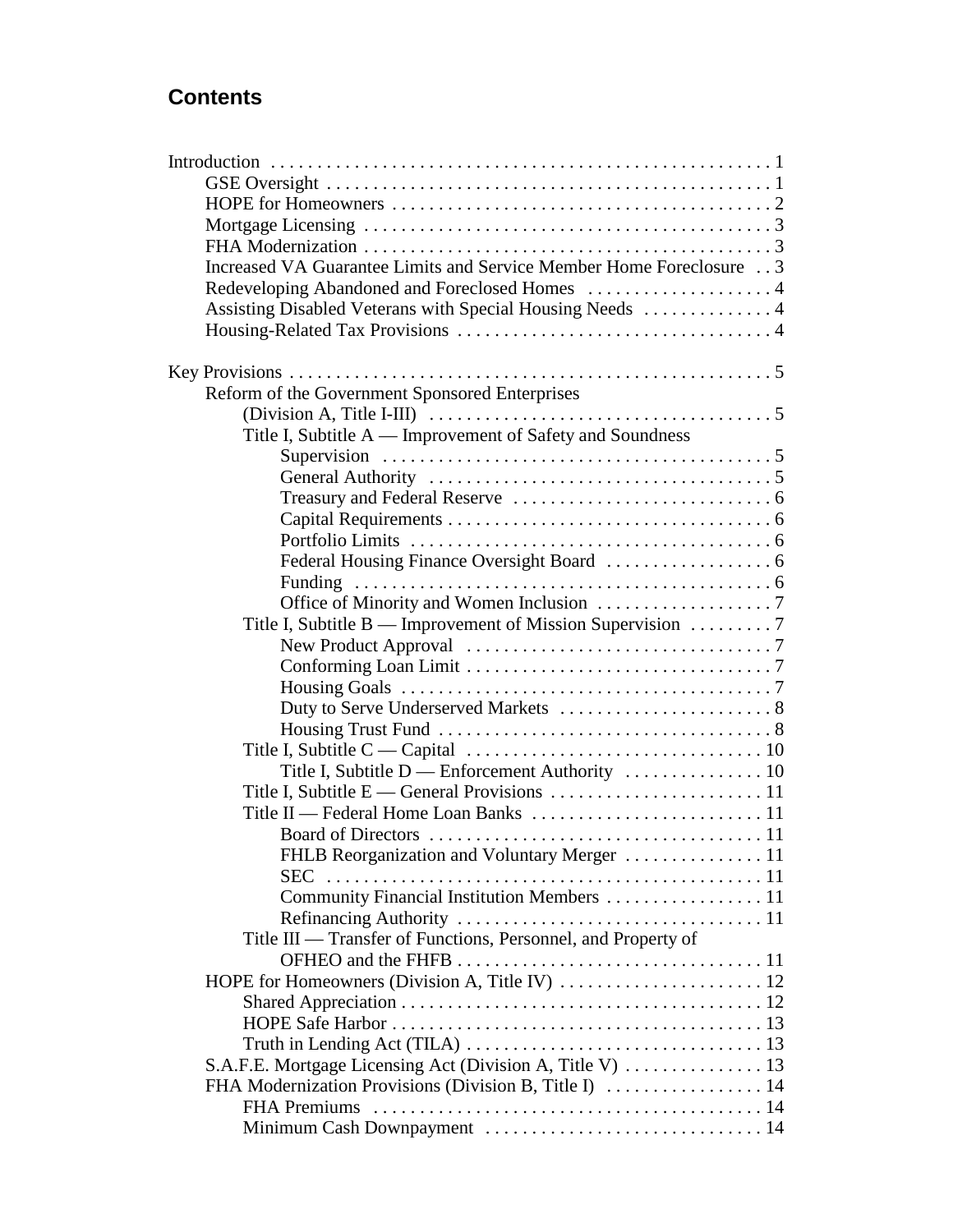# **Contents**

| Increased VA Guarantee Limits and Service Member Home Foreclosure 3                                      |  |
|----------------------------------------------------------------------------------------------------------|--|
|                                                                                                          |  |
| Assisting Disabled Veterans with Special Housing Needs  4                                                |  |
|                                                                                                          |  |
|                                                                                                          |  |
|                                                                                                          |  |
| Reform of the Government Sponsored Enterprises                                                           |  |
| (Division A, Title I-III) $\ldots \ldots \ldots \ldots \ldots \ldots \ldots \ldots \ldots \ldots \ldots$ |  |
| Title I, Subtitle A — Improvement of Safety and Soundness                                                |  |
|                                                                                                          |  |
|                                                                                                          |  |
|                                                                                                          |  |
|                                                                                                          |  |
|                                                                                                          |  |
|                                                                                                          |  |
|                                                                                                          |  |
|                                                                                                          |  |
| Title I, Subtitle B — Improvement of Mission Supervision 7                                               |  |
|                                                                                                          |  |
|                                                                                                          |  |
| Housing Goals $\ldots \ldots \ldots \ldots \ldots \ldots \ldots \ldots \ldots \ldots \ldots \ldots$      |  |
|                                                                                                          |  |
|                                                                                                          |  |
|                                                                                                          |  |
| Title I, Subtitle D — Enforcement Authority  10                                                          |  |
|                                                                                                          |  |
|                                                                                                          |  |
|                                                                                                          |  |
| FHLB Reorganization and Voluntary Merger  11                                                             |  |
| <b>SEC</b>                                                                                               |  |
|                                                                                                          |  |
| Community Financial Institution Members  11                                                              |  |
|                                                                                                          |  |
| Title III — Transfer of Functions, Personnel, and Property of                                            |  |
|                                                                                                          |  |
|                                                                                                          |  |
|                                                                                                          |  |
|                                                                                                          |  |
|                                                                                                          |  |
|                                                                                                          |  |
| FHA Modernization Provisions (Division B, Title I)  14                                                   |  |
|                                                                                                          |  |
|                                                                                                          |  |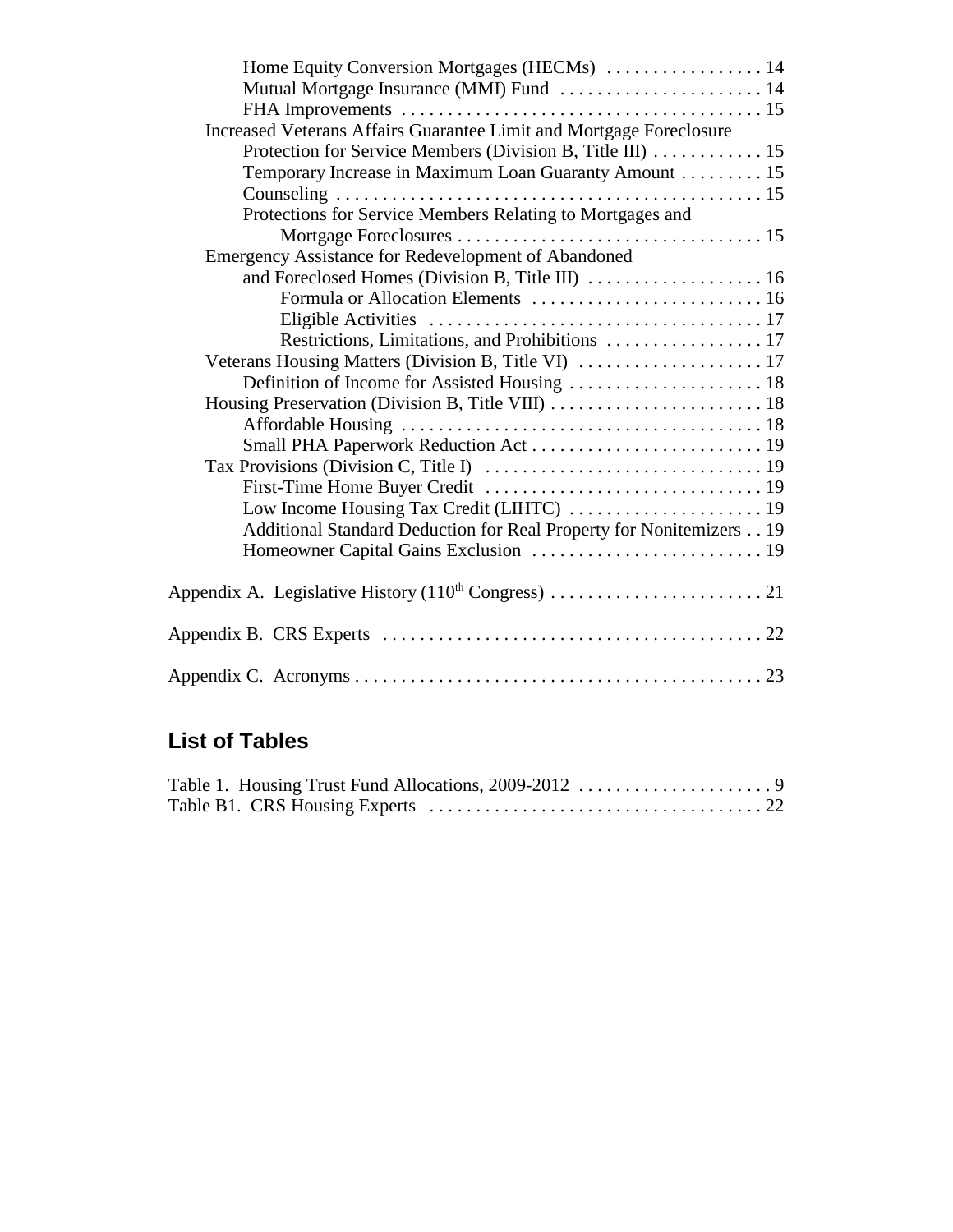| Mutual Mortgage Insurance (MMI) Fund  14                            |  |
|---------------------------------------------------------------------|--|
|                                                                     |  |
| Increased Veterans Affairs Guarantee Limit and Mortgage Foreclosure |  |
| Protection for Service Members (Division B, Title III) 15           |  |
| Temporary Increase in Maximum Loan Guaranty Amount 15               |  |
|                                                                     |  |
| Protections for Service Members Relating to Mortgages and           |  |
|                                                                     |  |
| <b>Emergency Assistance for Redevelopment of Abandoned</b>          |  |
| and Foreclosed Homes (Division B, Title III)  16                    |  |
|                                                                     |  |
|                                                                     |  |
|                                                                     |  |
|                                                                     |  |
| Definition of Income for Assisted Housing  18                       |  |
|                                                                     |  |
|                                                                     |  |
|                                                                     |  |
|                                                                     |  |
|                                                                     |  |
| Low Income Housing Tax Credit (LIHTC)  19                           |  |
| Additional Standard Deduction for Real Property for Nonitemizers 19 |  |
| Homeowner Capital Gains Exclusion  19                               |  |
|                                                                     |  |
|                                                                     |  |
|                                                                     |  |
|                                                                     |  |
|                                                                     |  |

# **List of Tables**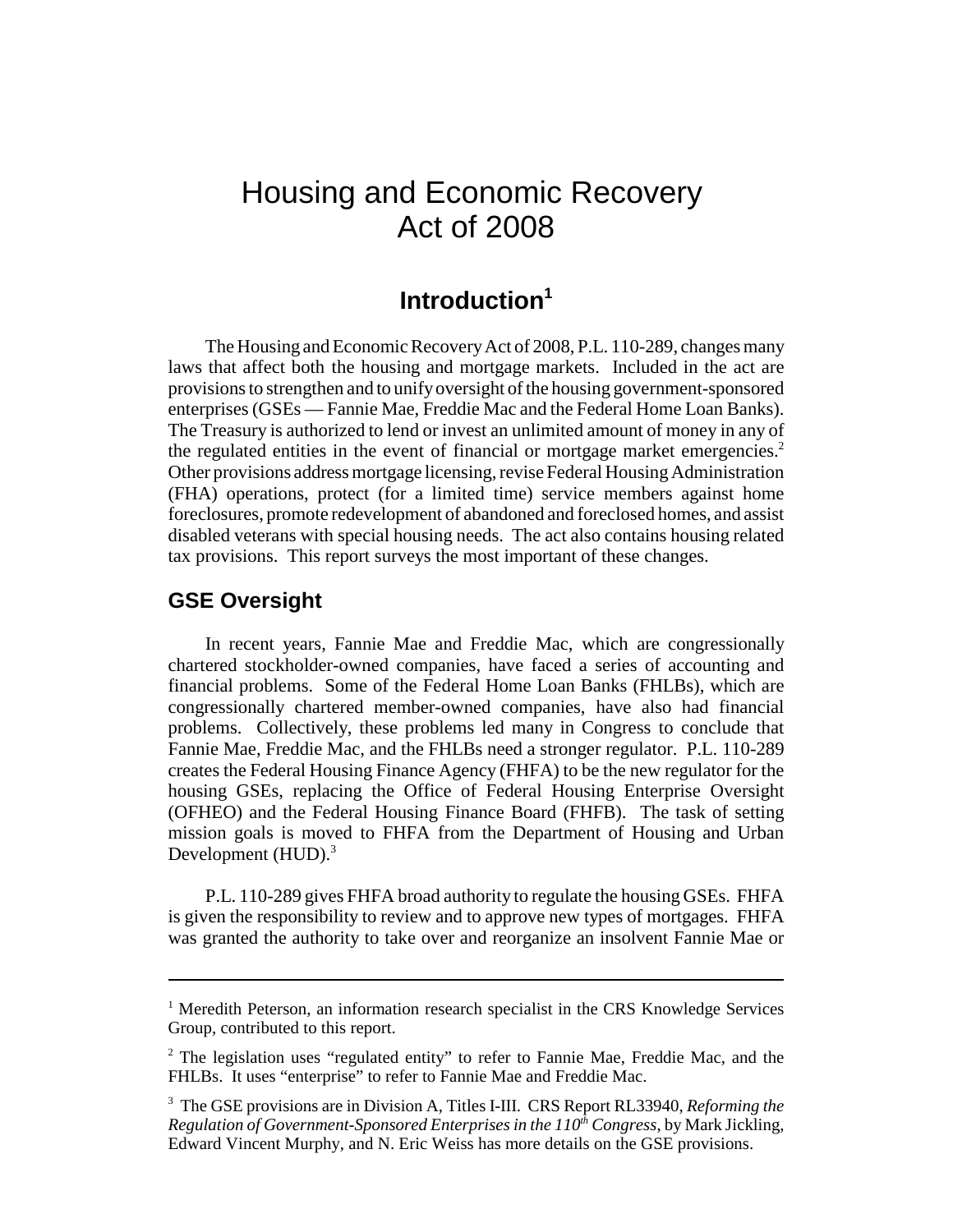# Housing and Economic Recovery Act of 2008

# **Introduction1**

The Housing and Economic Recovery Act of 2008, P.L. 110-289, changes many laws that affect both the housing and mortgage markets. Included in the act are provisions to strengthen and to unify oversight of the housing government-sponsored enterprises (GSEs — Fannie Mae, Freddie Mac and the Federal Home Loan Banks). The Treasury is authorized to lend or invest an unlimited amount of money in any of the regulated entities in the event of financial or mortgage market emergencies.<sup>2</sup> Other provisions address mortgage licensing, revise Federal Housing Administration (FHA) operations, protect (for a limited time) service members against home foreclosures, promote redevelopment of abandoned and foreclosed homes, and assist disabled veterans with special housing needs. The act also contains housing related tax provisions. This report surveys the most important of these changes.

#### **GSE Oversight**

In recent years, Fannie Mae and Freddie Mac, which are congressionally chartered stockholder-owned companies, have faced a series of accounting and financial problems. Some of the Federal Home Loan Banks (FHLBs), which are congressionally chartered member-owned companies, have also had financial problems. Collectively, these problems led many in Congress to conclude that Fannie Mae, Freddie Mac, and the FHLBs need a stronger regulator. P.L. 110-289 creates the Federal Housing Finance Agency (FHFA) to be the new regulator for the housing GSEs, replacing the Office of Federal Housing Enterprise Oversight (OFHEO) and the Federal Housing Finance Board (FHFB). The task of setting mission goals is moved to FHFA from the Department of Housing and Urban Development  $(HUD)$ .<sup>3</sup>

P.L. 110-289 gives FHFA broad authority to regulate the housing GSEs. FHFA is given the responsibility to review and to approve new types of mortgages. FHFA was granted the authority to take over and reorganize an insolvent Fannie Mae or

<sup>&</sup>lt;sup>1</sup> Meredith Peterson, an information research specialist in the CRS Knowledge Services Group, contributed to this report.

<sup>&</sup>lt;sup>2</sup> The legislation uses "regulated entity" to refer to Fannie Mae, Freddie Mac, and the FHLBs. It uses "enterprise" to refer to Fannie Mae and Freddie Mac.

<sup>3</sup> The GSE provisions are in Division A, Titles I-III. CRS Report RL33940, *Reforming the*  $Regularion of Government-Sponsored Enterprise in the 110<sup>th</sup> Congress, by Mark Jickling,$ Edward Vincent Murphy, and N. Eric Weiss has more details on the GSE provisions.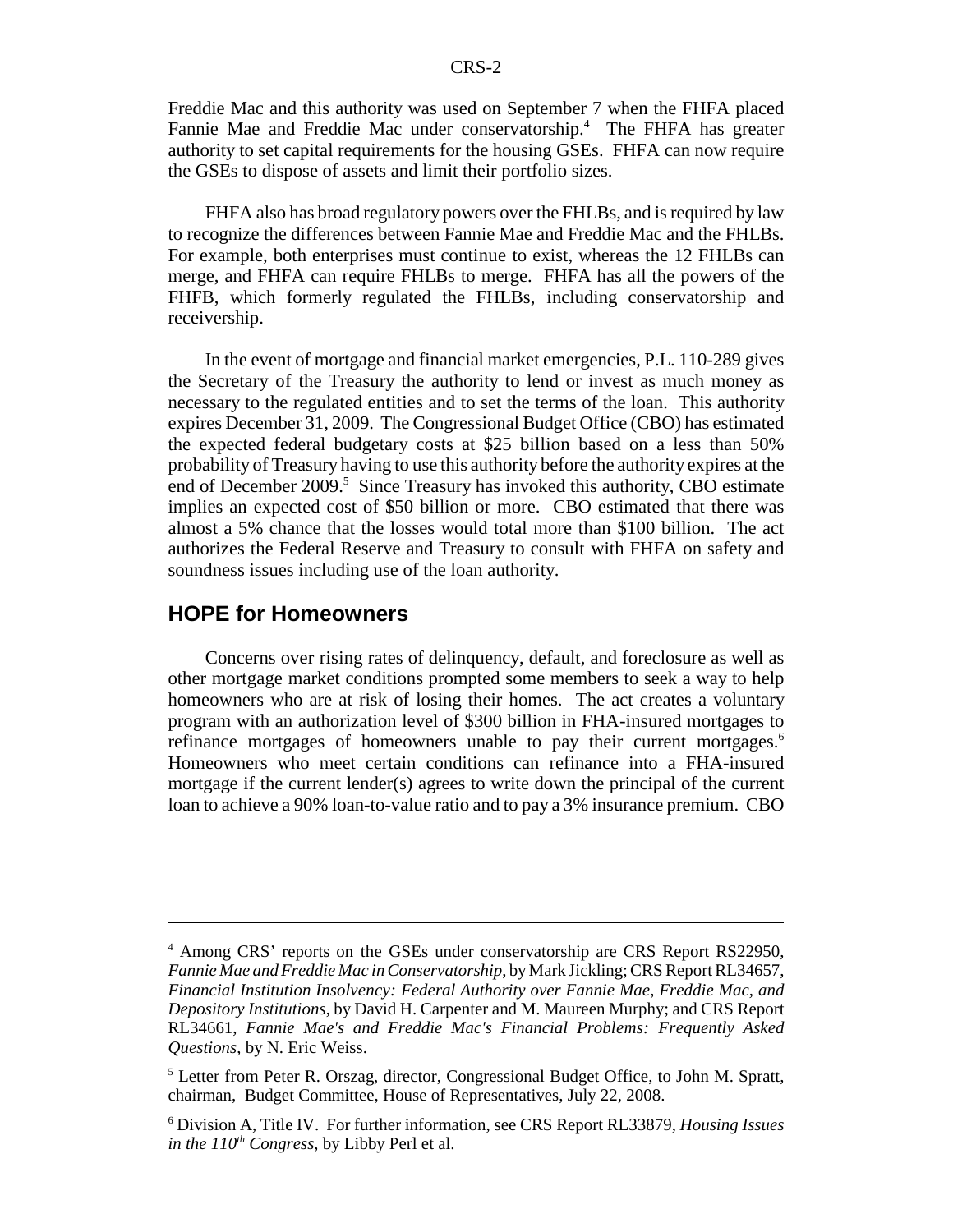Freddie Mac and this authority was used on September 7 when the FHFA placed Fannie Mae and Freddie Mac under conservatorship.<sup>4</sup> The FHFA has greater authority to set capital requirements for the housing GSEs. FHFA can now require the GSEs to dispose of assets and limit their portfolio sizes.

FHFA also has broad regulatory powers over the FHLBs, and is required by law to recognize the differences between Fannie Mae and Freddie Mac and the FHLBs. For example, both enterprises must continue to exist, whereas the 12 FHLBs can merge, and FHFA can require FHLBs to merge. FHFA has all the powers of the FHFB, which formerly regulated the FHLBs, including conservatorship and receivership.

In the event of mortgage and financial market emergencies, P.L. 110-289 gives the Secretary of the Treasury the authority to lend or invest as much money as necessary to the regulated entities and to set the terms of the loan. This authority expires December 31, 2009. The Congressional Budget Office (CBO) has estimated the expected federal budgetary costs at \$25 billion based on a less than 50% probability of Treasury having to use this authority before the authority expires at the end of December 2009.<sup>5</sup> Since Treasury has invoked this authority, CBO estimate implies an expected cost of \$50 billion or more. CBO estimated that there was almost a 5% chance that the losses would total more than \$100 billion. The act authorizes the Federal Reserve and Treasury to consult with FHFA on safety and soundness issues including use of the loan authority.

#### **HOPE for Homeowners**

Concerns over rising rates of delinquency, default, and foreclosure as well as other mortgage market conditions prompted some members to seek a way to help homeowners who are at risk of losing their homes. The act creates a voluntary program with an authorization level of \$300 billion in FHA-insured mortgages to refinance mortgages of homeowners unable to pay their current mortgages.<sup>6</sup> Homeowners who meet certain conditions can refinance into a FHA-insured mortgage if the current lender(s) agrees to write down the principal of the current loan to achieve a 90% loan-to-value ratio and to pay a 3% insurance premium. CBO

<sup>&</sup>lt;sup>4</sup> Among CRS' reports on the GSEs under conservatorship are CRS Report RS22950, *Fannie Mae and Freddie Mac in Conservatorship*, by Mark Jickling; CRS Report RL34657, *Financial Institution Insolvency: Federal Authority over Fannie Mae, Freddie Mac, and Depository Institutions*, by David H. Carpenter and M. Maureen Murphy; and CRS Report RL34661, *Fannie Mae's and Freddie Mac's Financial Problems: Frequently Asked Questions*, by N. Eric Weiss.

<sup>&</sup>lt;sup>5</sup> Letter from Peter R. Orszag, director, Congressional Budget Office, to John M. Spratt, chairman, Budget Committee, House of Representatives, July 22, 2008.

<sup>6</sup> Division A, Title IV. For further information, see CRS Report RL33879, *Housing Issues in the*  $110^{th}$  *Congress*, by Libby Perl et al.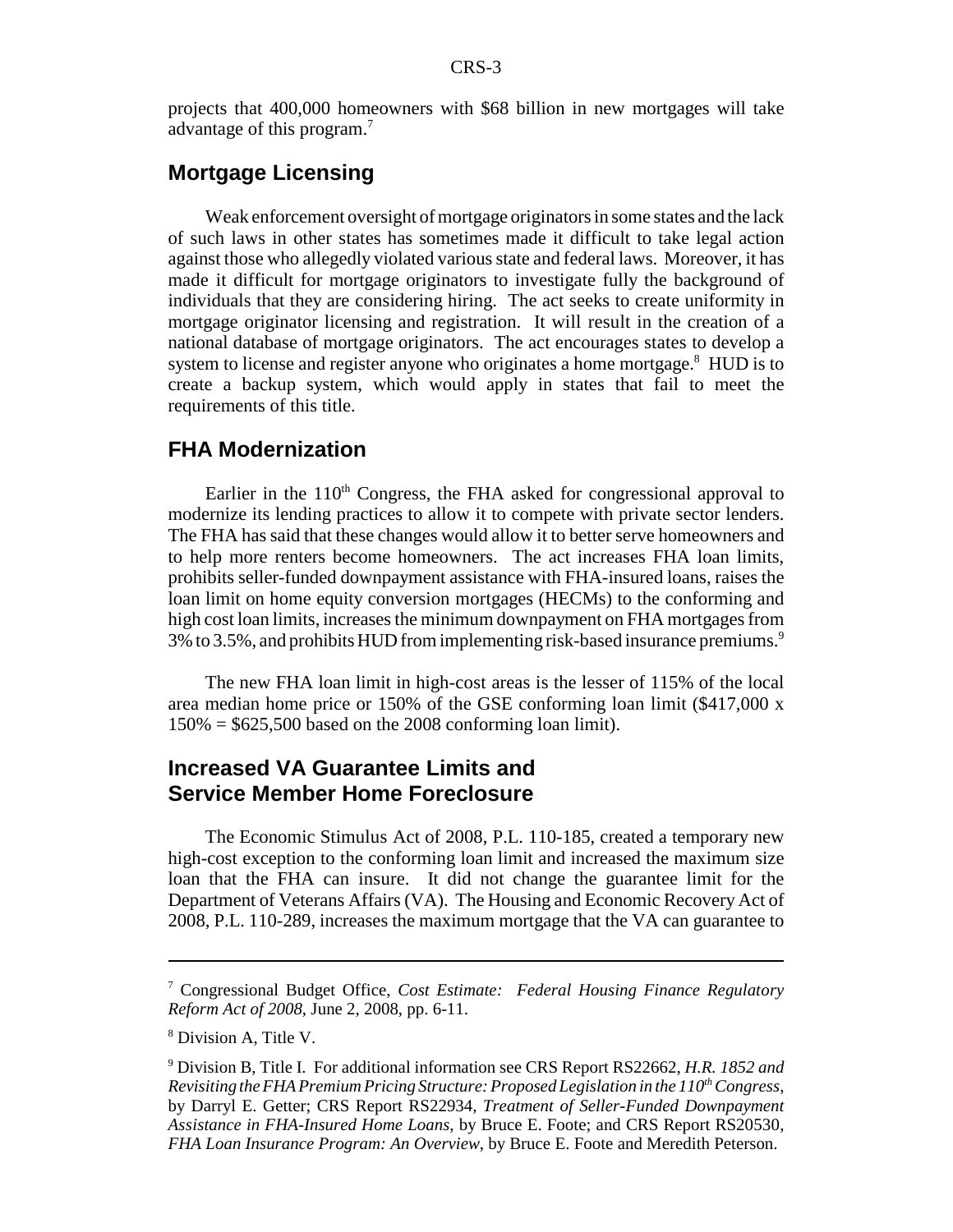projects that 400,000 homeowners with \$68 billion in new mortgages will take advantage of this program.7

# **Mortgage Licensing**

Weak enforcement oversight of mortgage originators in some states and the lack of such laws in other states has sometimes made it difficult to take legal action against those who allegedly violated various state and federal laws. Moreover, it has made it difficult for mortgage originators to investigate fully the background of individuals that they are considering hiring. The act seeks to create uniformity in mortgage originator licensing and registration. It will result in the creation of a national database of mortgage originators. The act encourages states to develop a system to license and register anyone who originates a home mortgage.<sup>8</sup> HUD is to create a backup system, which would apply in states that fail to meet the requirements of this title.

#### **FHA Modernization**

Earlier in the  $110<sup>th</sup>$  Congress, the FHA asked for congressional approval to modernize its lending practices to allow it to compete with private sector lenders. The FHA has said that these changes would allow it to better serve homeowners and to help more renters become homeowners. The act increases FHA loan limits, prohibits seller-funded downpayment assistance with FHA-insured loans, raises the loan limit on home equity conversion mortgages (HECMs) to the conforming and high cost loan limits, increases the minimum downpayment on FHA mortgages from  $3\%$  to 3.5%, and prohibits HUD from implementing risk-based insurance premiums.<sup>9</sup>

The new FHA loan limit in high-cost areas is the lesser of 115% of the local area median home price or 150% of the GSE conforming loan limit (\$417,000 x  $150\% = $625,500$  based on the 2008 conforming loan limit).

#### **Increased VA Guarantee Limits and Service Member Home Foreclosure**

The Economic Stimulus Act of 2008, P.L. 110-185, created a temporary new high-cost exception to the conforming loan limit and increased the maximum size loan that the FHA can insure. It did not change the guarantee limit for the Department of Veterans Affairs (VA). The Housing and Economic Recovery Act of 2008, P.L. 110-289, increases the maximum mortgage that the VA can guarantee to

<sup>7</sup> Congressional Budget Office, *Cost Estimate: Federal Housing Finance Regulatory Reform Act of 2008*, June 2, 2008, pp. 6-11.

<sup>8</sup> Division A, Title V.

<sup>9</sup> Division B, Title I. For additional information see CRS Report RS22662, *H.R. 1852 and Revisiting the FHA Premium Pricing Structure: Proposed Legislation in the 110<sup>th</sup> Congress,* by Darryl E. Getter; CRS Report RS22934, *Treatment of Seller-Funded Downpayment Assistance in FHA-Insured Home Loans*, by Bruce E. Foote; and CRS Report RS20530, *FHA Loan Insurance Program: An Overview*, by Bruce E. Foote and Meredith Peterson.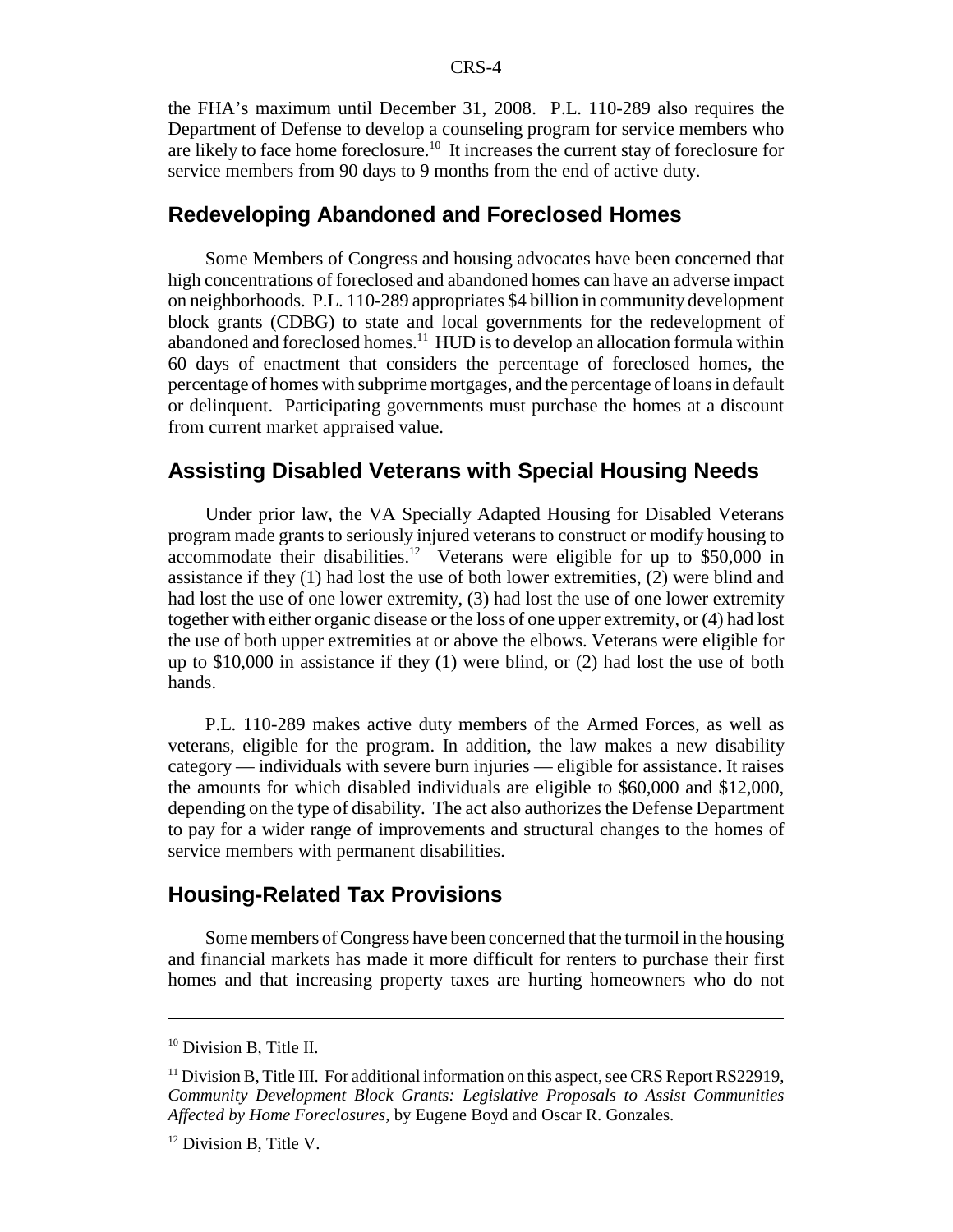the FHA's maximum until December 31, 2008. P.L. 110-289 also requires the Department of Defense to develop a counseling program for service members who are likely to face home foreclosure.<sup>10</sup> It increases the current stay of foreclosure for service members from 90 days to 9 months from the end of active duty.

# **Redeveloping Abandoned and Foreclosed Homes**

Some Members of Congress and housing advocates have been concerned that high concentrations of foreclosed and abandoned homes can have an adverse impact on neighborhoods. P.L. 110-289 appropriates \$4 billion in community development block grants (CDBG) to state and local governments for the redevelopment of abandoned and foreclosed homes.<sup>11</sup> HUD is to develop an allocation formula within 60 days of enactment that considers the percentage of foreclosed homes, the percentage of homes with subprime mortgages, and the percentage of loans in default or delinquent. Participating governments must purchase the homes at a discount from current market appraised value.

#### **Assisting Disabled Veterans with Special Housing Needs**

Under prior law, the VA Specially Adapted Housing for Disabled Veterans program made grants to seriously injured veterans to construct or modify housing to accommodate their disabilities.<sup>12</sup> Veterans were eligible for up to  $$50,000$  in assistance if they (1) had lost the use of both lower extremities, (2) were blind and had lost the use of one lower extremity, (3) had lost the use of one lower extremity together with either organic disease or the loss of one upper extremity, or (4) had lost the use of both upper extremities at or above the elbows. Veterans were eligible for up to \$10,000 in assistance if they (1) were blind, or (2) had lost the use of both hands.

P.L. 110-289 makes active duty members of the Armed Forces, as well as veterans, eligible for the program. In addition, the law makes a new disability category — individuals with severe burn injuries — eligible for assistance. It raises the amounts for which disabled individuals are eligible to \$60,000 and \$12,000, depending on the type of disability. The act also authorizes the Defense Department to pay for a wider range of improvements and structural changes to the homes of service members with permanent disabilities.

## **Housing-Related Tax Provisions**

Some members of Congress have been concerned that the turmoil in the housing and financial markets has made it more difficult for renters to purchase their first homes and that increasing property taxes are hurting homeowners who do not

<sup>&</sup>lt;sup>10</sup> Division B, Title II.

<sup>&</sup>lt;sup>11</sup> Division B, Title III. For additional information on this aspect, see CRS Report RS22919, *Community Development Block Grants: Legislative Proposals to Assist Communities Affected by Home Foreclosures*, by Eugene Boyd and Oscar R. Gonzales.

<sup>&</sup>lt;sup>12</sup> Division B, Title V.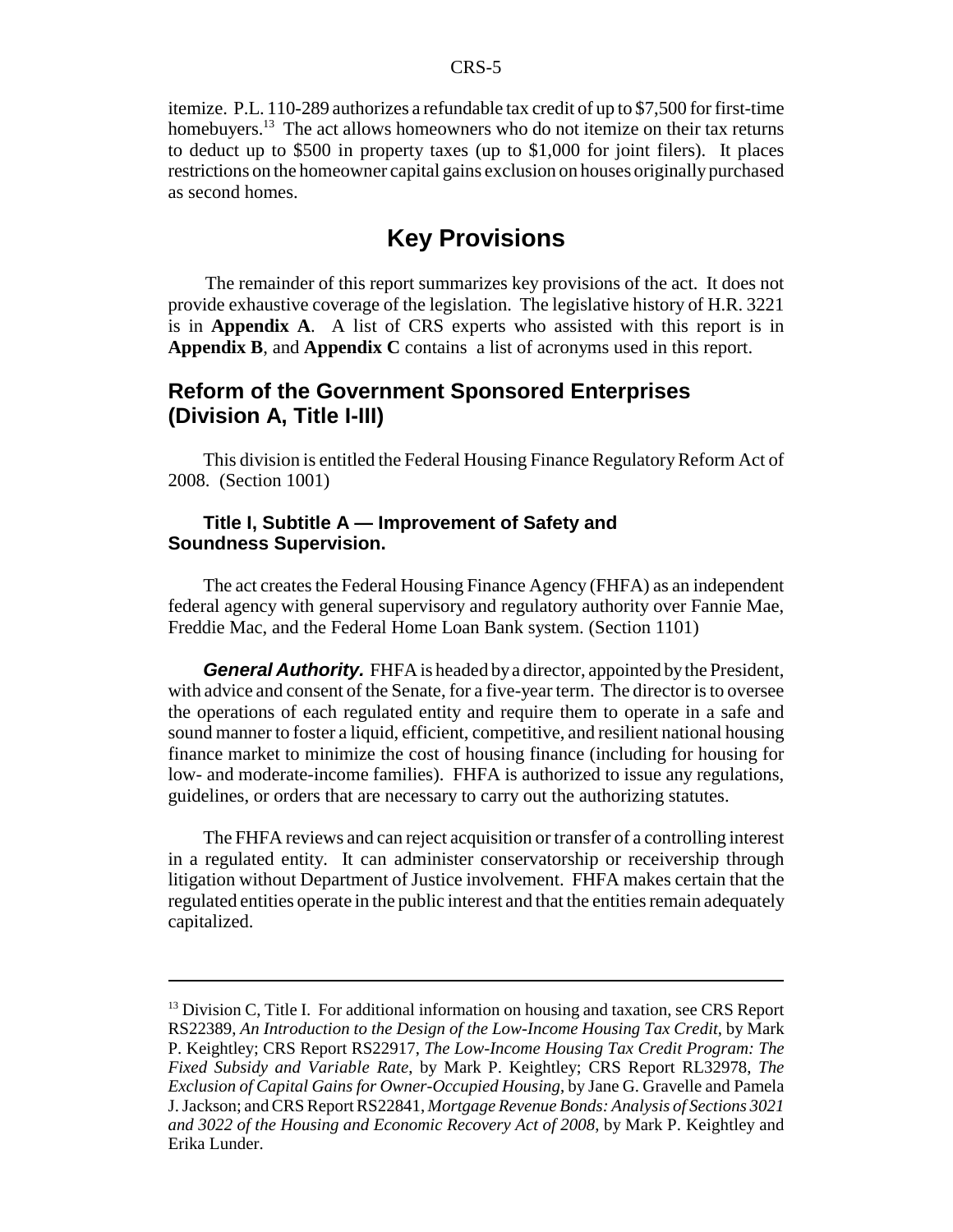itemize. P.L. 110-289 authorizes a refundable tax credit of up to \$7,500 for first-time homebuyers.<sup>13</sup> The act allows homeowners who do not itemize on their tax returns to deduct up to \$500 in property taxes (up to \$1,000 for joint filers). It places restrictions on the homeowner capital gains exclusion on houses originally purchased as second homes.

# **Key Provisions**

The remainder of this report summarizes key provisions of the act. It does not provide exhaustive coverage of the legislation. The legislative history of H.R. 3221 is in **Appendix A**. A list of CRS experts who assisted with this report is in **Appendix B**, and **Appendix C** contains a list of acronyms used in this report.

#### **Reform of the Government Sponsored Enterprises (Division A, Title I-III)**

This division is entitled the Federal Housing Finance Regulatory Reform Act of 2008. (Section 1001)

#### **Title I, Subtitle A — Improvement of Safety and Soundness Supervision.**

The act creates the Federal Housing Finance Agency (FHFA) as an independent federal agency with general supervisory and regulatory authority over Fannie Mae, Freddie Mac, and the Federal Home Loan Bank system. (Section 1101)

*General Authority.* FHFA is headed by a director, appointed by the President, with advice and consent of the Senate, for a five-year term. The director is to oversee the operations of each regulated entity and require them to operate in a safe and sound manner to foster a liquid, efficient, competitive, and resilient national housing finance market to minimize the cost of housing finance (including for housing for low- and moderate-income families). FHFA is authorized to issue any regulations, guidelines, or orders that are necessary to carry out the authorizing statutes.

The FHFA reviews and can reject acquisition or transfer of a controlling interest in a regulated entity. It can administer conservatorship or receivership through litigation without Department of Justice involvement. FHFA makes certain that the regulated entities operate in the public interest and that the entities remain adequately capitalized.

 $13$  Division C, Title I. For additional information on housing and taxation, see CRS Report RS22389, *An Introduction to the Design of the Low-Income Housing Tax Credit*, by Mark P. Keightley; CRS Report RS22917, *The Low-Income Housing Tax Credit Program: The Fixed Subsidy and Variable Rate*, by Mark P. Keightley; CRS Report RL32978, *The Exclusion of Capital Gains for Owner-Occupied Housing*, by Jane G. Gravelle and Pamela J. Jackson; and CRS Report RS22841, *Mortgage Revenue Bonds: Analysis of Sections 3021 and 3022 of the Housing and Economic Recovery Act of 2008*, by Mark P. Keightley and Erika Lunder.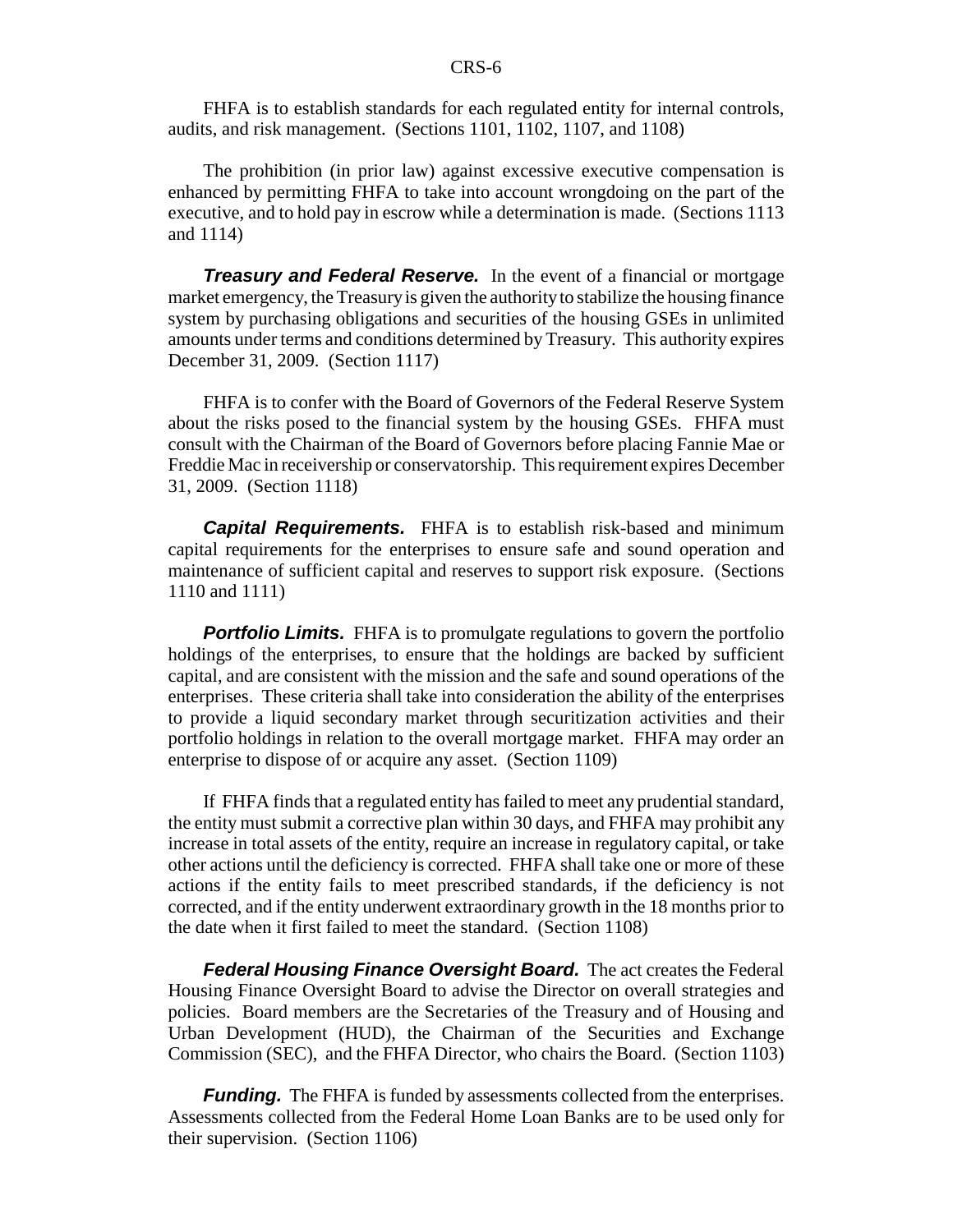FHFA is to establish standards for each regulated entity for internal controls, audits, and risk management. (Sections 1101, 1102, 1107, and 1108)

The prohibition (in prior law) against excessive executive compensation is enhanced by permitting FHFA to take into account wrongdoing on the part of the executive, and to hold pay in escrow while a determination is made. (Sections 1113 and 1114)

*Treasury and Federal Reserve.* In the event of a financial or mortgage market emergency, the Treasury is given the authority to stabilize the housing finance system by purchasing obligations and securities of the housing GSEs in unlimited amounts under terms and conditions determined by Treasury. This authority expires December 31, 2009. (Section 1117)

FHFA is to confer with the Board of Governors of the Federal Reserve System about the risks posed to the financial system by the housing GSEs. FHFA must consult with the Chairman of the Board of Governors before placing Fannie Mae or Freddie Mac in receivership or conservatorship. This requirement expires December 31, 2009. (Section 1118)

**Capital Requirements.** FHFA is to establish risk-based and minimum capital requirements for the enterprises to ensure safe and sound operation and maintenance of sufficient capital and reserves to support risk exposure. (Sections 1110 and 1111)

**Portfolio Limits.** FHFA is to promulgate regulations to govern the portfolio holdings of the enterprises, to ensure that the holdings are backed by sufficient capital, and are consistent with the mission and the safe and sound operations of the enterprises. These criteria shall take into consideration the ability of the enterprises to provide a liquid secondary market through securitization activities and their portfolio holdings in relation to the overall mortgage market. FHFA may order an enterprise to dispose of or acquire any asset. (Section 1109)

If FHFA finds that a regulated entity has failed to meet any prudential standard, the entity must submit a corrective plan within 30 days, and FHFA may prohibit any increase in total assets of the entity, require an increase in regulatory capital, or take other actions until the deficiency is corrected. FHFA shall take one or more of these actions if the entity fails to meet prescribed standards, if the deficiency is not corrected, and if the entity underwent extraordinary growth in the 18 months prior to the date when it first failed to meet the standard. (Section 1108)

*Federal Housing Finance Oversight Board.* The act creates the Federal Housing Finance Oversight Board to advise the Director on overall strategies and policies. Board members are the Secretaries of the Treasury and of Housing and Urban Development (HUD), the Chairman of the Securities and Exchange Commission (SEC), and the FHFA Director, who chairs the Board. (Section 1103)

*Funding.* The FHFA is funded by assessments collected from the enterprises. Assessments collected from the Federal Home Loan Banks are to be used only for their supervision. (Section 1106)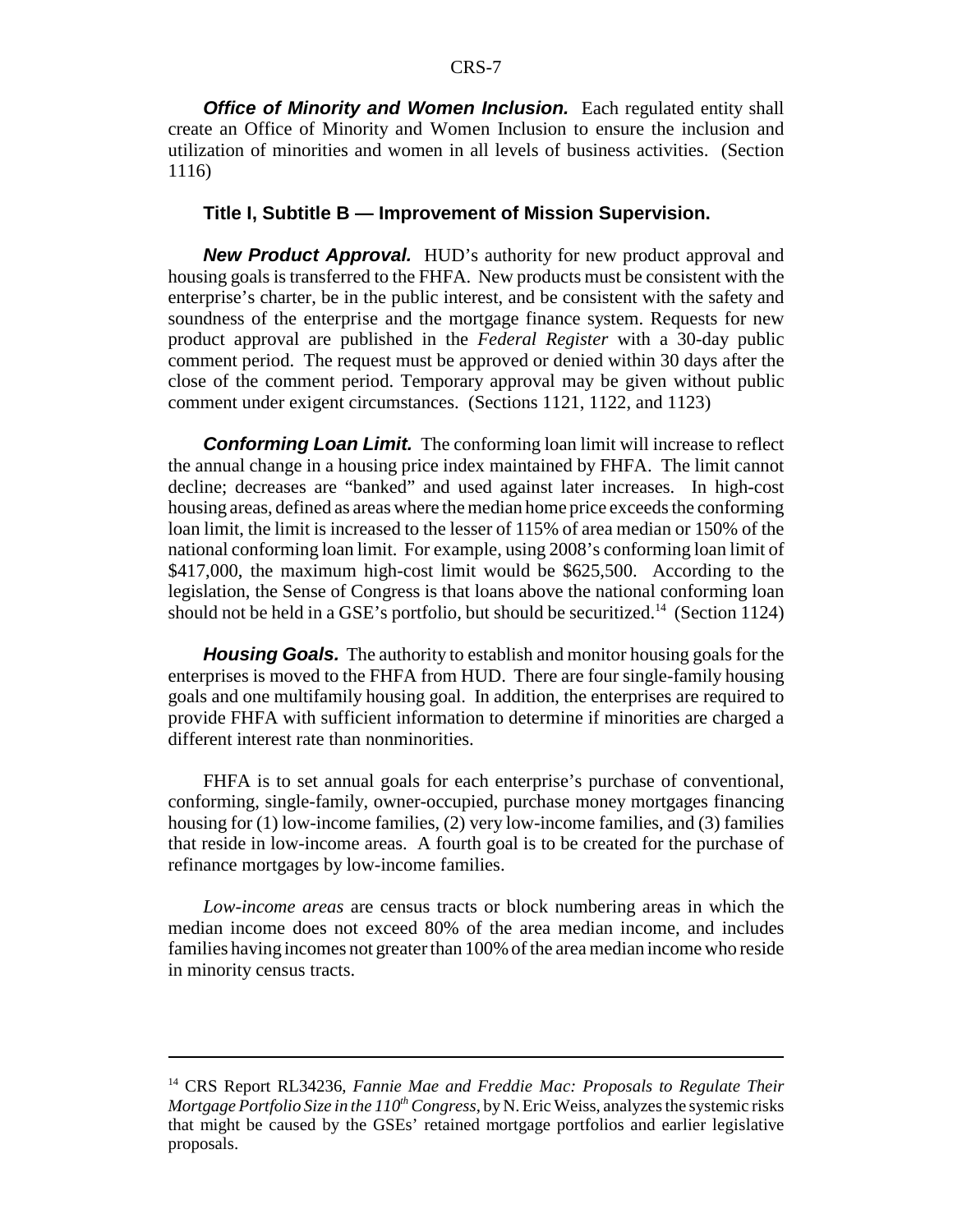*Office of Minority and Women Inclusion.* Each regulated entity shall create an Office of Minority and Women Inclusion to ensure the inclusion and utilization of minorities and women in all levels of business activities. (Section 1116)

#### **Title I, Subtitle B — Improvement of Mission Supervision.**

*New Product Approval.* HUD's authority for new product approval and housing goals is transferred to the FHFA. New products must be consistent with the enterprise's charter, be in the public interest, and be consistent with the safety and soundness of the enterprise and the mortgage finance system. Requests for new product approval are published in the *Federal Register* with a 30-day public comment period. The request must be approved or denied within 30 days after the close of the comment period. Temporary approval may be given without public comment under exigent circumstances. (Sections 1121, 1122, and 1123)

**Conforming Loan Limit.** The conforming loan limit will increase to reflect the annual change in a housing price index maintained by FHFA. The limit cannot decline; decreases are "banked" and used against later increases. In high-cost housing areas, defined as areas where the median home price exceeds the conforming loan limit, the limit is increased to the lesser of 115% of area median or 150% of the national conforming loan limit. For example, using 2008's conforming loan limit of \$417,000, the maximum high-cost limit would be \$625,500. According to the legislation, the Sense of Congress is that loans above the national conforming loan should not be held in a GSE's portfolio, but should be securitized.<sup>14</sup> (Section 1124)

*Housing Goals.* The authority to establish and monitor housing goals for the enterprises is moved to the FHFA from HUD. There are four single-family housing goals and one multifamily housing goal. In addition, the enterprises are required to provide FHFA with sufficient information to determine if minorities are charged a different interest rate than nonminorities.

FHFA is to set annual goals for each enterprise's purchase of conventional, conforming, single-family, owner-occupied, purchase money mortgages financing housing for (1) low-income families, (2) very low-income families, and (3) families that reside in low-income areas. A fourth goal is to be created for the purchase of refinance mortgages by low-income families.

*Low-income areas* are census tracts or block numbering areas in which the median income does not exceed 80% of the area median income, and includes families having incomes not greater than 100% of the area median income who reside in minority census tracts.

<sup>&</sup>lt;sup>14</sup> CRS Report RL34236, *Fannie Mae and Freddie Mac: Proposals to Regulate Their Mortgage Portfolio Size in the*  $110^{th}$  *Congress*, by N. Eric Weiss, analyzes the systemic risks that might be caused by the GSEs' retained mortgage portfolios and earlier legislative proposals.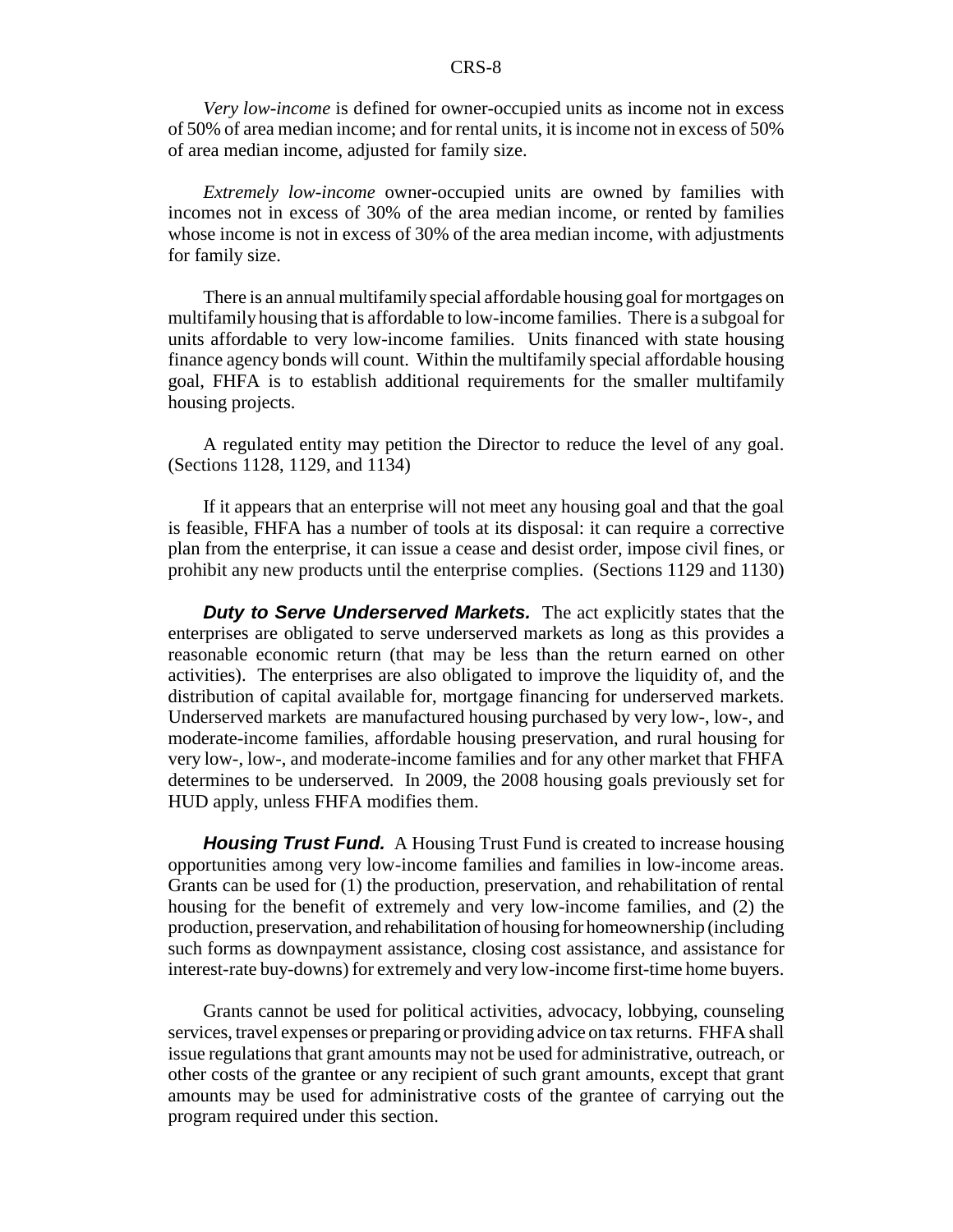*Very low-income* is defined for owner-occupied units as income not in excess of 50% of area median income; and for rental units, it is income not in excess of 50% of area median income, adjusted for family size.

*Extremely low-income* owner-occupied units are owned by families with incomes not in excess of 30% of the area median income, or rented by families whose income is not in excess of 30% of the area median income, with adjustments for family size.

There is an annual multifamily special affordable housing goal for mortgages on multifamily housing that is affordable to low-income families. There is a subgoal for units affordable to very low-income families. Units financed with state housing finance agency bonds will count. Within the multifamily special affordable housing goal, FHFA is to establish additional requirements for the smaller multifamily housing projects.

A regulated entity may petition the Director to reduce the level of any goal. (Sections 1128, 1129, and 1134)

If it appears that an enterprise will not meet any housing goal and that the goal is feasible, FHFA has a number of tools at its disposal: it can require a corrective plan from the enterprise, it can issue a cease and desist order, impose civil fines, or prohibit any new products until the enterprise complies. (Sections 1129 and 1130)

*Duty to Serve Underserved Markets.* The act explicitly states that the enterprises are obligated to serve underserved markets as long as this provides a reasonable economic return (that may be less than the return earned on other activities). The enterprises are also obligated to improve the liquidity of, and the distribution of capital available for, mortgage financing for underserved markets. Underserved markets are manufactured housing purchased by very low-, low-, and moderate-income families, affordable housing preservation, and rural housing for very low-, low-, and moderate-income families and for any other market that FHFA determines to be underserved. In 2009, the 2008 housing goals previously set for HUD apply, unless FHFA modifies them.

**Housing Trust Fund.** A Housing Trust Fund is created to increase housing opportunities among very low-income families and families in low-income areas. Grants can be used for (1) the production, preservation, and rehabilitation of rental housing for the benefit of extremely and very low-income families, and (2) the production, preservation, and rehabilitation of housing for homeownership (including such forms as downpayment assistance, closing cost assistance, and assistance for interest-rate buy-downs) for extremely and very low-income first-time home buyers.

Grants cannot be used for political activities, advocacy, lobbying, counseling services, travel expenses or preparing or providing advice on tax returns. FHFA shall issue regulations that grant amounts may not be used for administrative, outreach, or other costs of the grantee or any recipient of such grant amounts, except that grant amounts may be used for administrative costs of the grantee of carrying out the program required under this section.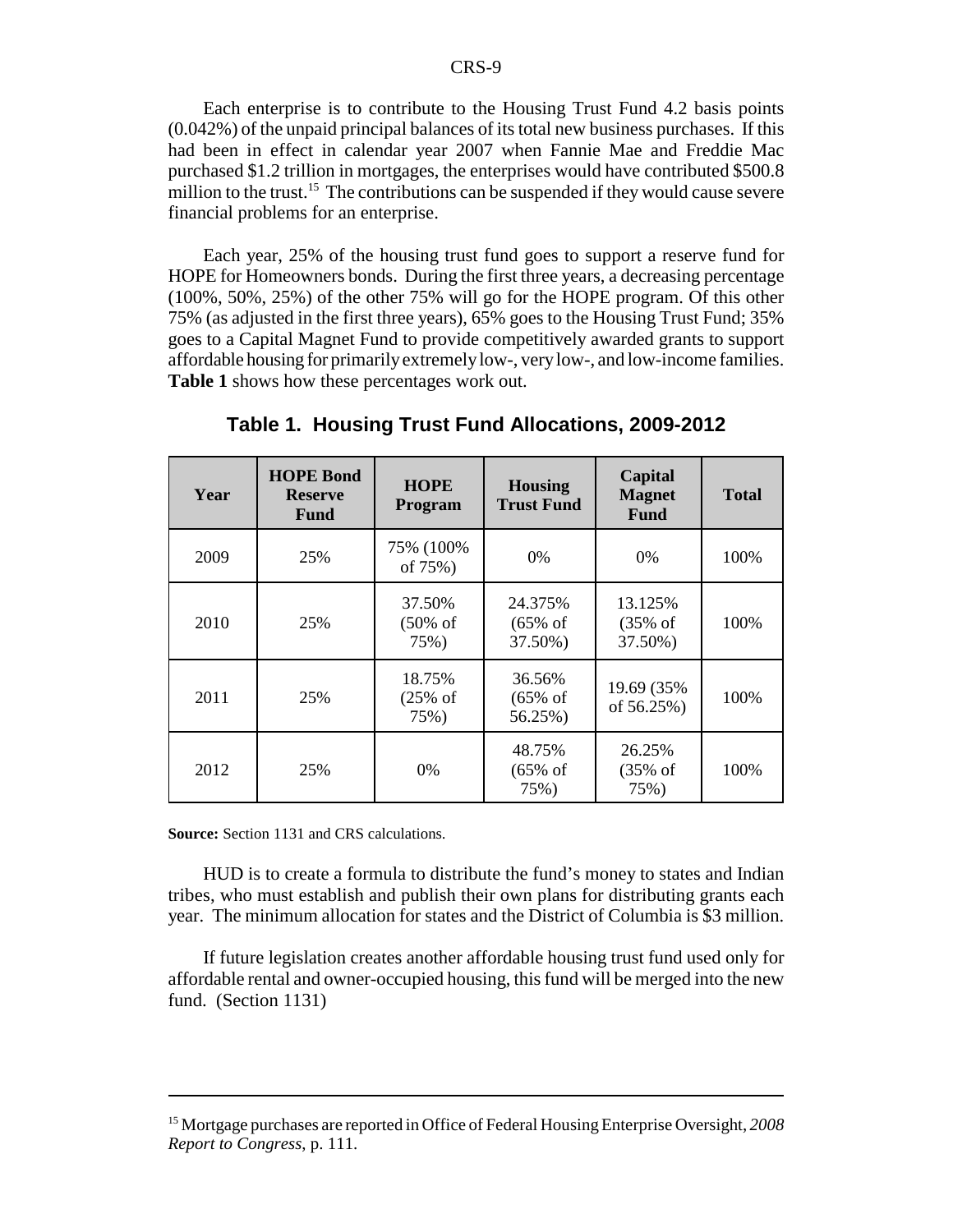Each enterprise is to contribute to the Housing Trust Fund 4.2 basis points (0.042%) of the unpaid principal balances of its total new business purchases. If this had been in effect in calendar year 2007 when Fannie Mae and Freddie Mac purchased \$1.2 trillion in mortgages, the enterprises would have contributed \$500.8 million to the trust.<sup>15</sup> The contributions can be suspended if they would cause severe financial problems for an enterprise.

Each year, 25% of the housing trust fund goes to support a reserve fund for HOPE for Homeowners bonds. During the first three years, a decreasing percentage (100%, 50%, 25%) of the other 75% will go for the HOPE program. Of this other 75% (as adjusted in the first three years), 65% goes to the Housing Trust Fund; 35% goes to a Capital Magnet Fund to provide competitively awarded grants to support affordable housing for primarily extremely low-, very low-, and low-income families. **Table 1** shows how these percentages work out.

| Year | <b>HOPE Bond</b><br><b>Reserve</b><br><b>Fund</b> | <b>HOPE</b><br>Program                | <b>Housing</b><br><b>Trust Fund</b>       | Capital<br><b>Magnet</b><br><b>Fund</b>   | <b>Total</b> |
|------|---------------------------------------------------|---------------------------------------|-------------------------------------------|-------------------------------------------|--------------|
| 2009 | 25%                                               | 75% (100%)<br>of 75%)                 | $0\%$                                     | $0\%$                                     | 100%         |
| 2010 | 25%                                               | 37.50%<br>$(50\% \text{ of }$<br>75%) | 24.375%<br>$(65\% \text{ of }$<br>37.50%) | 13.125%<br>$(35\% \text{ of }$<br>37.50%) | 100%         |
| 2011 | 25%                                               | 18.75%<br>$(25\% \text{ of }$<br>75%) | 36.56%<br>$(65\% \text{ of }$<br>56.25%)  | 19.69 (35%)<br>of 56.25%)                 | 100%         |
| 2012 | 25%                                               | $0\%$                                 | 48.75%<br>$(65\% \text{ of }$<br>75%)     | 26.25%<br>$(35\% \text{ of }$<br>75%)     | 100%         |

**Table 1. Housing Trust Fund Allocations, 2009-2012**

**Source:** Section 1131 and CRS calculations.

HUD is to create a formula to distribute the fund's money to states and Indian tribes, who must establish and publish their own plans for distributing grants each year. The minimum allocation for states and the District of Columbia is \$3 million.

If future legislation creates another affordable housing trust fund used only for affordable rental and owner-occupied housing, this fund will be merged into the new fund. (Section 1131)

<sup>15</sup> Mortgage purchases are reported in Office of Federal Housing Enterprise Oversight, *2008 Report to Congress*, p. 111.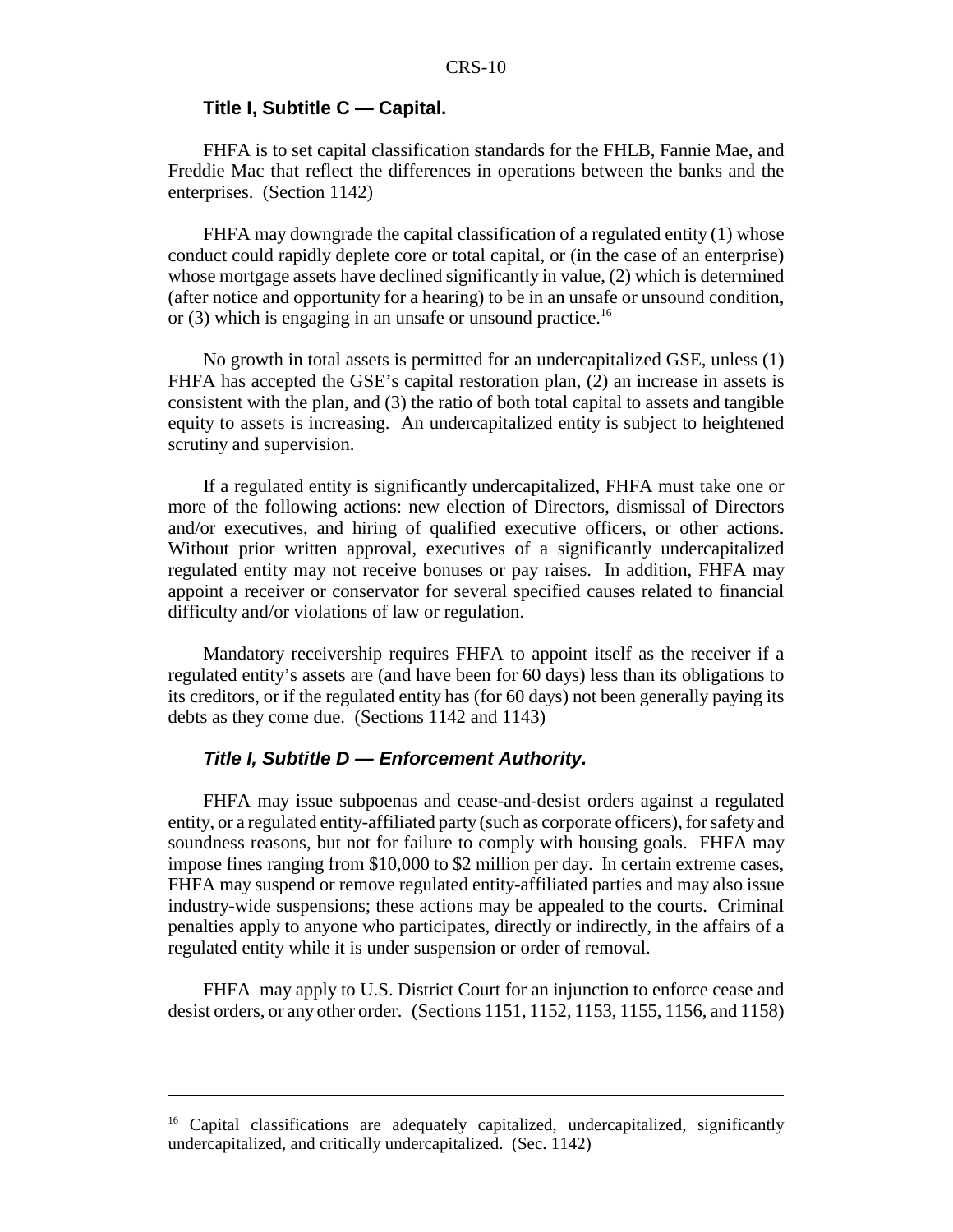#### **Title I, Subtitle C — Capital.**

FHFA is to set capital classification standards for the FHLB, Fannie Mae, and Freddie Mac that reflect the differences in operations between the banks and the enterprises. (Section 1142)

FHFA may downgrade the capital classification of a regulated entity (1) whose conduct could rapidly deplete core or total capital, or (in the case of an enterprise) whose mortgage assets have declined significantly in value, (2) which is determined (after notice and opportunity for a hearing) to be in an unsafe or unsound condition, or (3) which is engaging in an unsafe or unsound practice.<sup>16</sup>

No growth in total assets is permitted for an undercapitalized GSE, unless (1) FHFA has accepted the GSE's capital restoration plan, (2) an increase in assets is consistent with the plan, and (3) the ratio of both total capital to assets and tangible equity to assets is increasing. An undercapitalized entity is subject to heightened scrutiny and supervision.

If a regulated entity is significantly undercapitalized, FHFA must take one or more of the following actions: new election of Directors, dismissal of Directors and/or executives, and hiring of qualified executive officers, or other actions. Without prior written approval, executives of a significantly undercapitalized regulated entity may not receive bonuses or pay raises. In addition, FHFA may appoint a receiver or conservator for several specified causes related to financial difficulty and/or violations of law or regulation.

Mandatory receivership requires FHFA to appoint itself as the receiver if a regulated entity's assets are (and have been for 60 days) less than its obligations to its creditors, or if the regulated entity has (for 60 days) not been generally paying its debts as they come due. (Sections 1142 and 1143)

#### *Title I, Subtitle D — Enforcement Authority.*

FHFA may issue subpoenas and cease-and-desist orders against a regulated entity, or a regulated entity-affiliated party (such as corporate officers), for safety and soundness reasons, but not for failure to comply with housing goals. FHFA may impose fines ranging from \$10,000 to \$2 million per day. In certain extreme cases, FHFA may suspend or remove regulated entity-affiliated parties and may also issue industry-wide suspensions; these actions may be appealed to the courts. Criminal penalties apply to anyone who participates, directly or indirectly, in the affairs of a regulated entity while it is under suspension or order of removal.

FHFA may apply to U.S. District Court for an injunction to enforce cease and desist orders, or any other order. (Sections 1151, 1152, 1153, 1155, 1156, and 1158)

<sup>&</sup>lt;sup>16</sup> Capital classifications are adequately capitalized, undercapitalized, significantly undercapitalized, and critically undercapitalized. (Sec. 1142)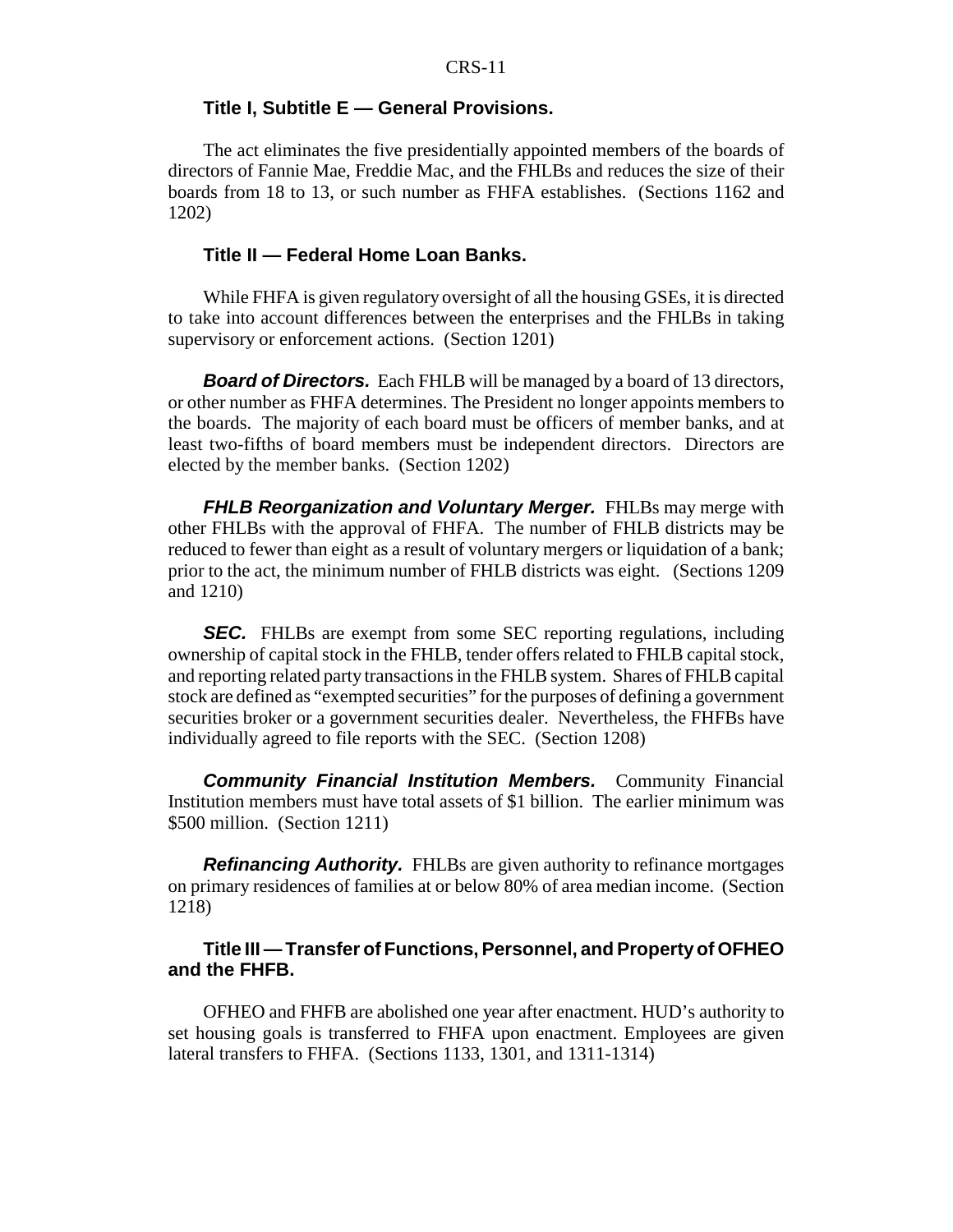#### **Title I, Subtitle E — General Provisions.**

The act eliminates the five presidentially appointed members of the boards of directors of Fannie Mae, Freddie Mac, and the FHLBs and reduces the size of their boards from 18 to 13, or such number as FHFA establishes. (Sections 1162 and 1202)

#### **Title II — Federal Home Loan Banks.**

While FHFA is given regulatory oversight of all the housing GSEs, it is directed to take into account differences between the enterprises and the FHLBs in taking supervisory or enforcement actions. (Section 1201)

*Board of Directors.* Each FHLB will be managed by a board of 13 directors, or other number as FHFA determines. The President no longer appoints members to the boards. The majority of each board must be officers of member banks, and at least two-fifths of board members must be independent directors. Directors are elected by the member banks. (Section 1202)

*FHLB Reorganization and Voluntary Merger.* FHLBs may merge with other FHLBs with the approval of FHFA. The number of FHLB districts may be reduced to fewer than eight as a result of voluntary mergers or liquidation of a bank; prior to the act, the minimum number of FHLB districts was eight. (Sections 1209 and 1210)

**SEC.** FHLBs are exempt from some SEC reporting regulations, including ownership of capital stock in the FHLB, tender offers related to FHLB capital stock, and reporting related party transactions in the FHLB system. Shares of FHLB capital stock are defined as "exempted securities" for the purposes of defining a government securities broker or a government securities dealer. Nevertheless, the FHFBs have individually agreed to file reports with the SEC. (Section 1208)

*Community Financial Institution Members.* Community Financial Institution members must have total assets of \$1 billion. The earlier minimum was \$500 million. (Section 1211)

*Refinancing Authority.* FHLBs are given authority to refinance mortgages on primary residences of families at or below 80% of area median income. (Section 1218)

#### **Title III — Transfer of Functions, Personnel, and Property of OFHEO and the FHFB.**

OFHEO and FHFB are abolished one year after enactment. HUD's authority to set housing goals is transferred to FHFA upon enactment. Employees are given lateral transfers to FHFA. (Sections 1133, 1301, and 1311-1314)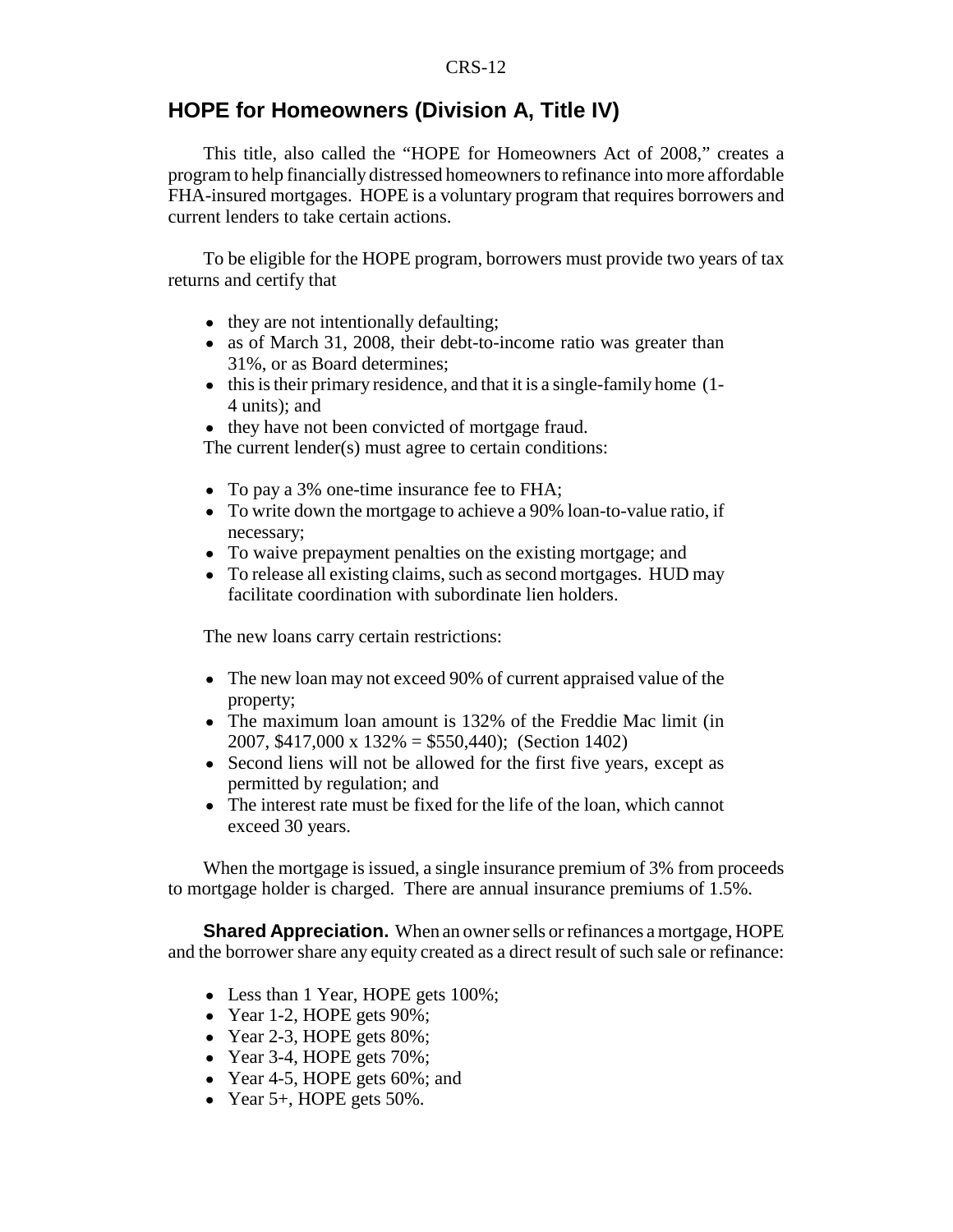#### **HOPE for Homeowners (Division A, Title IV)**

This title, also called the "HOPE for Homeowners Act of 2008," creates a program to help financially distressed homeowners to refinance into more affordable FHA-insured mortgages. HOPE is a voluntary program that requires borrowers and current lenders to take certain actions.

To be eligible for the HOPE program, borrowers must provide two years of tax returns and certify that

- they are not intentionally defaulting;
- as of March 31, 2008, their debt-to-income ratio was greater than 31%, or as Board determines;
- this is their primary residence, and that it is a single-family home (1-4 units); and
- they have not been convicted of mortgage fraud.

The current lender(s) must agree to certain conditions:

- To pay a 3% one-time insurance fee to FHA;
- To write down the mortgage to achieve a 90% loan-to-value ratio, if necessary;
- To waive prepayment penalties on the existing mortgage; and
- To release all existing claims, such as second mortgages. HUD may facilitate coordination with subordinate lien holders.

The new loans carry certain restrictions:

- The new loan may not exceed 90% of current appraised value of the property;
- The maximum loan amount is 132% of the Freddie Mac limit (in 2007, \$417,000 x 132% = \$550,440); (Section 1402)
- Second liens will not be allowed for the first five years, except as permitted by regulation; and
- The interest rate must be fixed for the life of the loan, which cannot exceed 30 years.

When the mortgage is issued, a single insurance premium of 3% from proceeds to mortgage holder is charged. There are annual insurance premiums of 1.5%.

**Shared Appreciation.** When an owner sells or refinances a mortgage, HOPE and the borrower share any equity created as a direct result of such sale or refinance:

- Less than 1 Year, HOPE gets 100%;
- Year 1-2, HOPE gets  $90\%$ ;
- $\bullet$  Year 2-3, HOPE gets 80%;
- $\bullet$  Year 3-4, HOPE gets 70%;
- Year 4-5, HOPE gets  $60\%$ ; and
- Year  $5+$ , HOPE gets  $50\%$ .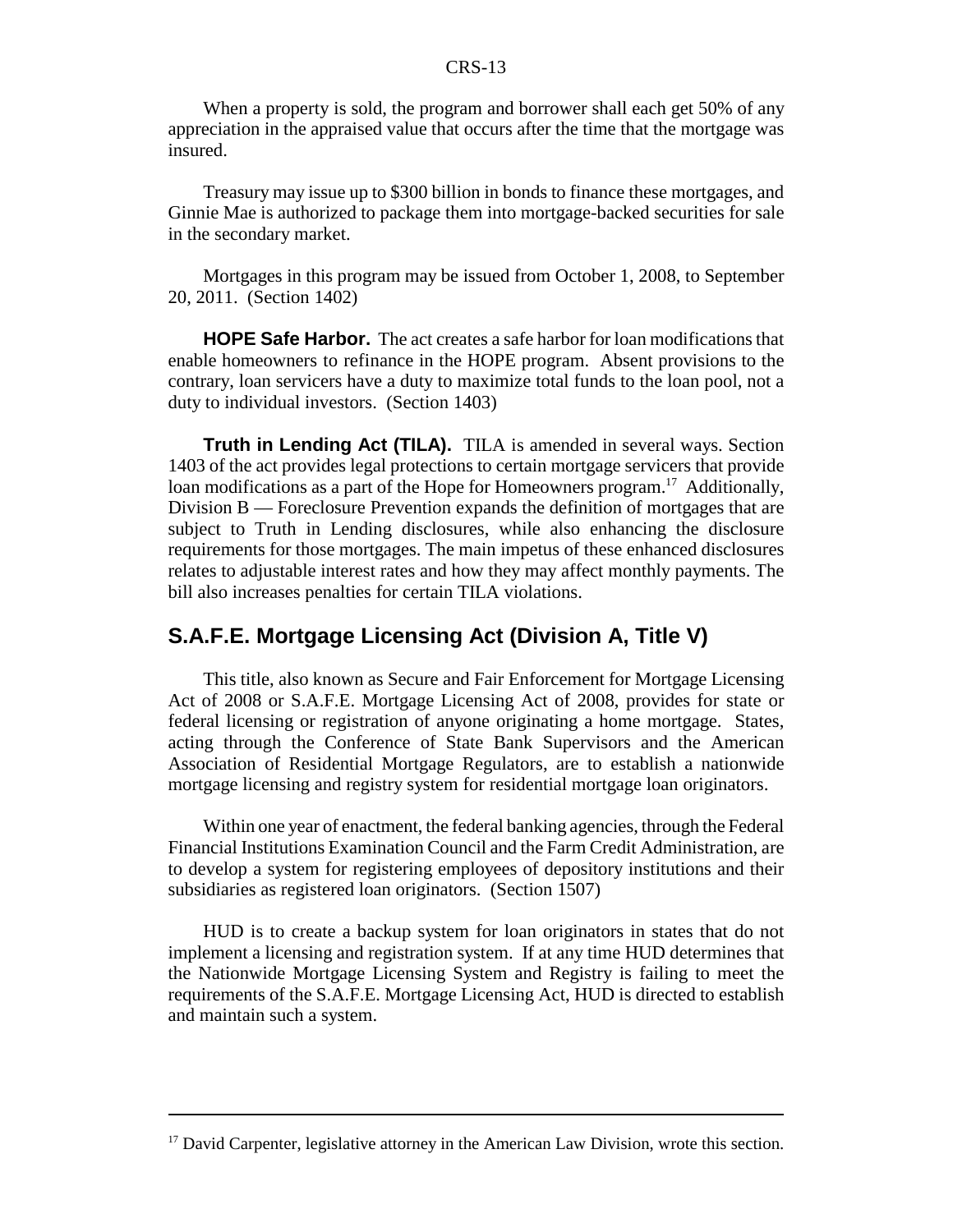When a property is sold, the program and borrower shall each get 50% of any appreciation in the appraised value that occurs after the time that the mortgage was insured.

Treasury may issue up to \$300 billion in bonds to finance these mortgages, and Ginnie Mae is authorized to package them into mortgage-backed securities for sale in the secondary market.

Mortgages in this program may be issued from October 1, 2008, to September 20, 2011. (Section 1402)

**HOPE Safe Harbor.** The act creates a safe harbor for loan modifications that enable homeowners to refinance in the HOPE program. Absent provisions to the contrary, loan servicers have a duty to maximize total funds to the loan pool, not a duty to individual investors. (Section 1403)

**Truth in Lending Act (TILA).** TILA is amended in several ways. Section 1403 of the act provides legal protections to certain mortgage servicers that provide loan modifications as a part of the Hope for Homeowners program.<sup>17</sup> Additionally, Division B — Foreclosure Prevention expands the definition of mortgages that are subject to Truth in Lending disclosures, while also enhancing the disclosure requirements for those mortgages. The main impetus of these enhanced disclosures relates to adjustable interest rates and how they may affect monthly payments. The bill also increases penalties for certain TILA violations.

#### **S.A.F.E. Mortgage Licensing Act (Division A, Title V)**

This title, also known as Secure and Fair Enforcement for Mortgage Licensing Act of 2008 or S.A.F.E. Mortgage Licensing Act of 2008, provides for state or federal licensing or registration of anyone originating a home mortgage. States, acting through the Conference of State Bank Supervisors and the American Association of Residential Mortgage Regulators, are to establish a nationwide mortgage licensing and registry system for residential mortgage loan originators.

Within one year of enactment, the federal banking agencies, through the Federal Financial Institutions Examination Council and the Farm Credit Administration, are to develop a system for registering employees of depository institutions and their subsidiaries as registered loan originators. (Section 1507)

HUD is to create a backup system for loan originators in states that do not implement a licensing and registration system. If at any time HUD determines that the Nationwide Mortgage Licensing System and Registry is failing to meet the requirements of the S.A.F.E. Mortgage Licensing Act, HUD is directed to establish and maintain such a system.

 $17$  David Carpenter, legislative attorney in the American Law Division, wrote this section.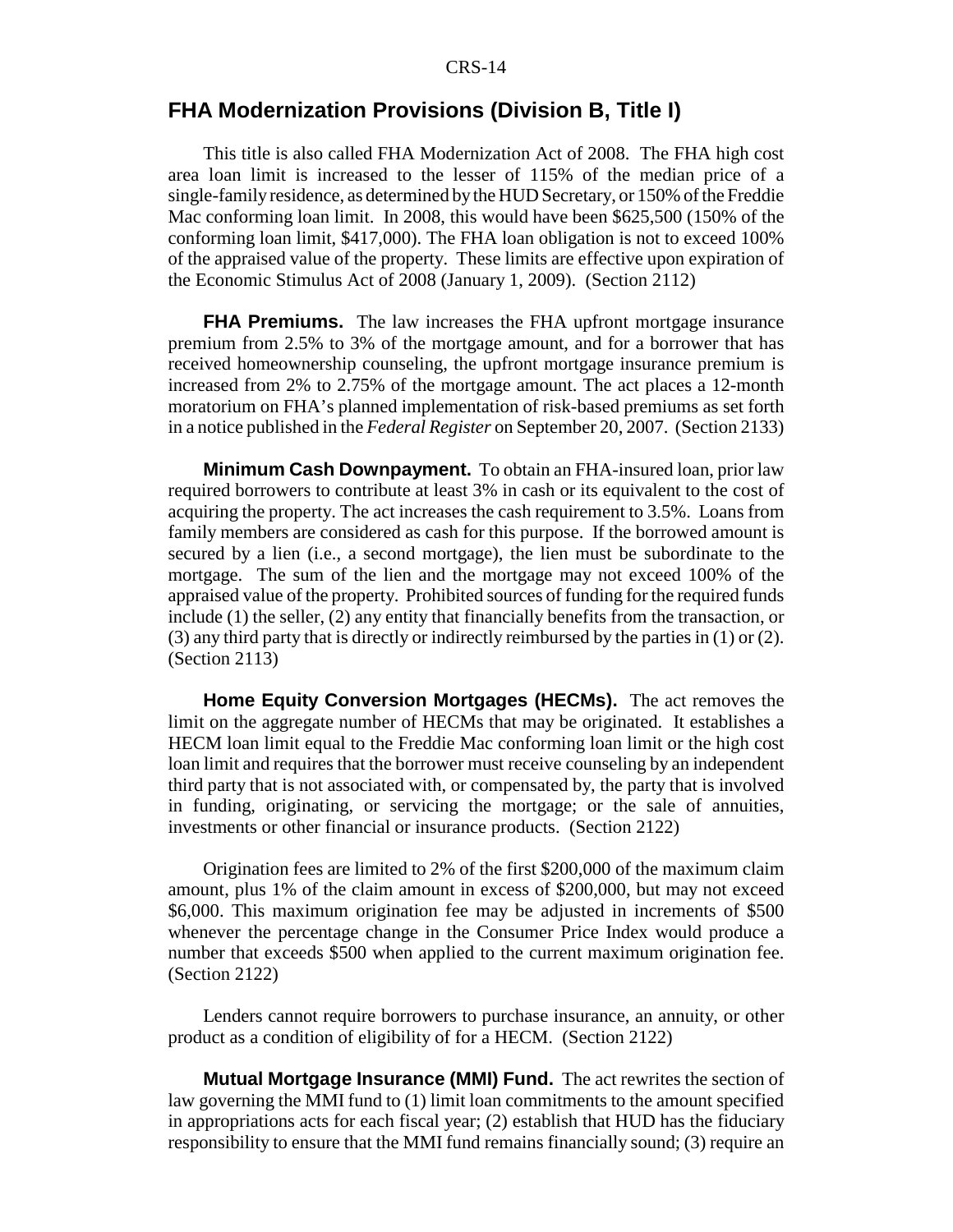#### **FHA Modernization Provisions (Division B, Title I)**

This title is also called FHA Modernization Act of 2008. The FHA high cost area loan limit is increased to the lesser of 115% of the median price of a single-family residence, as determined by the HUD Secretary, or 150% of the Freddie Mac conforming loan limit. In 2008, this would have been \$625,500 (150% of the conforming loan limit, \$417,000). The FHA loan obligation is not to exceed 100% of the appraised value of the property. These limits are effective upon expiration of the Economic Stimulus Act of 2008 (January 1, 2009). (Section 2112)

**FHA Premiums.** The law increases the FHA upfront mortgage insurance premium from 2.5% to 3% of the mortgage amount, and for a borrower that has received homeownership counseling, the upfront mortgage insurance premium is increased from 2% to 2.75% of the mortgage amount. The act places a 12-month moratorium on FHA's planned implementation of risk-based premiums as set forth in a notice published in the *Federal Register* on September 20, 2007. (Section 2133)

**Minimum Cash Downpayment.** To obtain an FHA-insured loan, prior law required borrowers to contribute at least 3% in cash or its equivalent to the cost of acquiring the property. The act increases the cash requirement to 3.5%. Loans from family members are considered as cash for this purpose. If the borrowed amount is secured by a lien (i.e., a second mortgage), the lien must be subordinate to the mortgage. The sum of the lien and the mortgage may not exceed 100% of the appraised value of the property. Prohibited sources of funding for the required funds include (1) the seller, (2) any entity that financially benefits from the transaction, or (3) any third party that is directly or indirectly reimbursed by the parties in (1) or (2). (Section 2113)

**Home Equity Conversion Mortgages (HECMs).** The act removes the limit on the aggregate number of HECMs that may be originated. It establishes a HECM loan limit equal to the Freddie Mac conforming loan limit or the high cost loan limit and requires that the borrower must receive counseling by an independent third party that is not associated with, or compensated by, the party that is involved in funding, originating, or servicing the mortgage; or the sale of annuities, investments or other financial or insurance products. (Section 2122)

Origination fees are limited to 2% of the first \$200,000 of the maximum claim amount, plus 1% of the claim amount in excess of \$200,000, but may not exceed \$6,000. This maximum origination fee may be adjusted in increments of \$500 whenever the percentage change in the Consumer Price Index would produce a number that exceeds \$500 when applied to the current maximum origination fee. (Section 2122)

Lenders cannot require borrowers to purchase insurance, an annuity, or other product as a condition of eligibility of for a HECM. (Section 2122)

**Mutual Mortgage Insurance (MMI) Fund.** The act rewrites the section of law governing the MMI fund to (1) limit loan commitments to the amount specified in appropriations acts for each fiscal year; (2) establish that HUD has the fiduciary responsibility to ensure that the MMI fund remains financially sound; (3) require an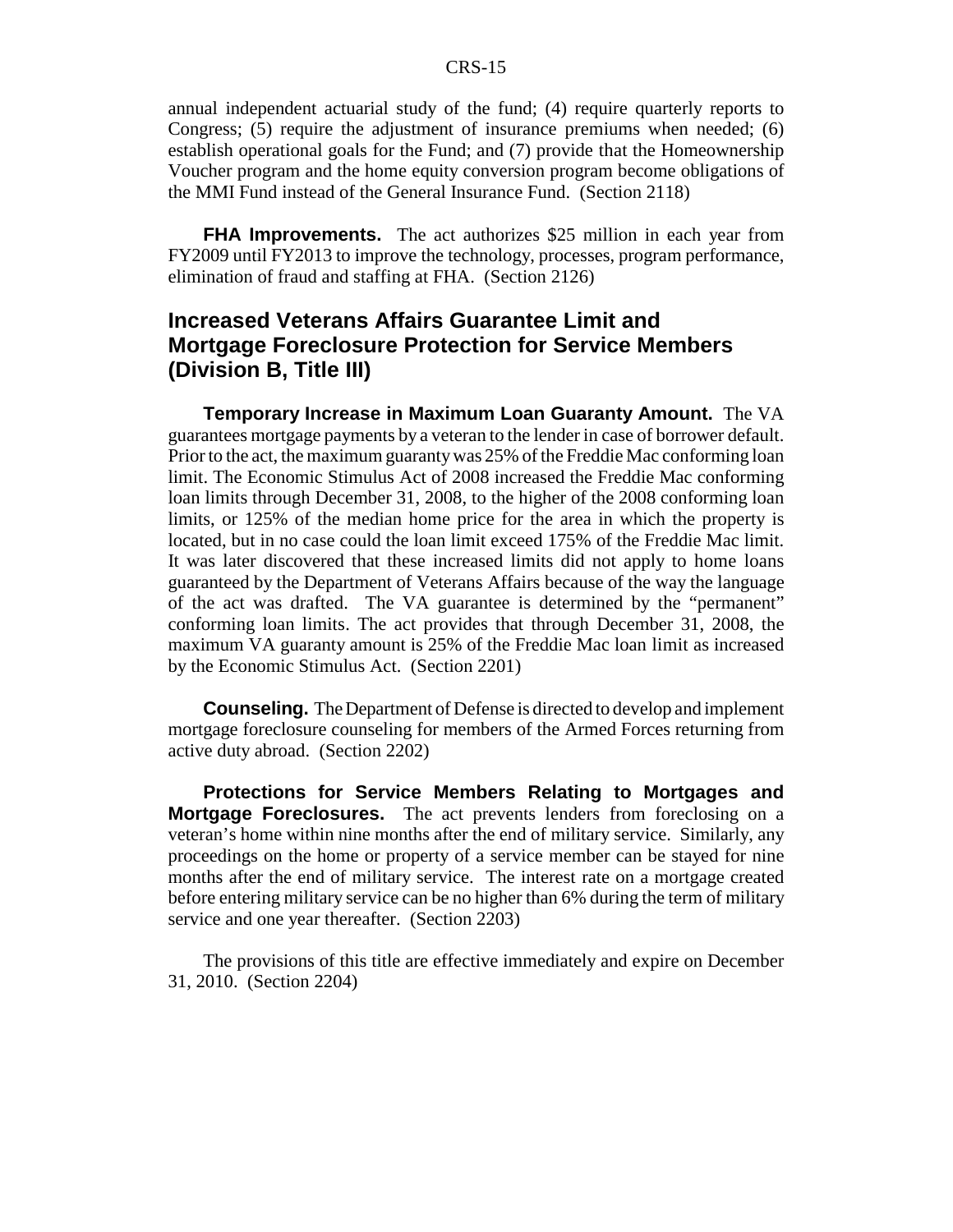annual independent actuarial study of the fund; (4) require quarterly reports to Congress; (5) require the adjustment of insurance premiums when needed; (6) establish operational goals for the Fund; and (7) provide that the Homeownership Voucher program and the home equity conversion program become obligations of the MMI Fund instead of the General Insurance Fund. (Section 2118)

**FHA Improvements.** The act authorizes \$25 million in each year from FY2009 until FY2013 to improve the technology, processes, program performance, elimination of fraud and staffing at FHA. (Section 2126)

### **Increased Veterans Affairs Guarantee Limit and Mortgage Foreclosure Protection for Service Members (Division B, Title III)**

**Temporary Increase in Maximum Loan Guaranty Amount.** The VA guarantees mortgage payments by a veteran to the lender in case of borrower default. Prior to the act, the maximum guaranty was 25% of the Freddie Mac conforming loan limit. The Economic Stimulus Act of 2008 increased the Freddie Mac conforming loan limits through December 31, 2008, to the higher of the 2008 conforming loan limits, or 125% of the median home price for the area in which the property is located, but in no case could the loan limit exceed 175% of the Freddie Mac limit. It was later discovered that these increased limits did not apply to home loans guaranteed by the Department of Veterans Affairs because of the way the language of the act was drafted. The VA guarantee is determined by the "permanent" conforming loan limits. The act provides that through December 31, 2008, the maximum VA guaranty amount is 25% of the Freddie Mac loan limit as increased by the Economic Stimulus Act. (Section 2201)

**Counseling.** The Department of Defense is directed to develop and implement mortgage foreclosure counseling for members of the Armed Forces returning from active duty abroad. (Section 2202)

**Protections for Service Members Relating to Mortgages and Mortgage Foreclosures.** The act prevents lenders from foreclosing on a veteran's home within nine months after the end of military service. Similarly, any proceedings on the home or property of a service member can be stayed for nine months after the end of military service. The interest rate on a mortgage created before entering military service can be no higher than 6% during the term of military service and one year thereafter. (Section 2203)

The provisions of this title are effective immediately and expire on December 31, 2010. (Section 2204)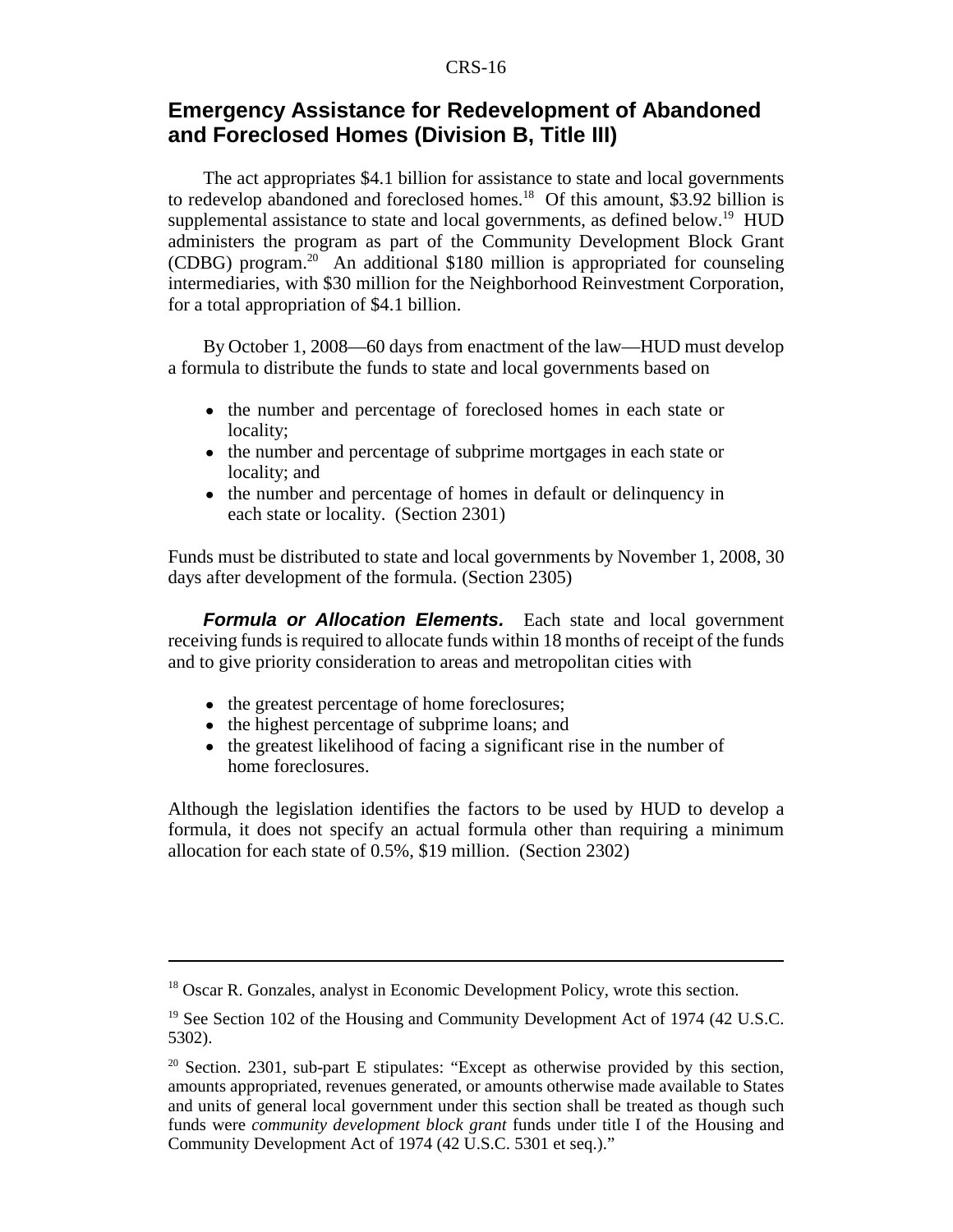### **Emergency Assistance for Redevelopment of Abandoned and Foreclosed Homes (Division B, Title III)**

The act appropriates \$4.1 billion for assistance to state and local governments to redevelop abandoned and foreclosed homes.<sup>18</sup> Of this amount, \$3.92 billion is supplemental assistance to state and local governments, as defined below.<sup>19</sup> HUD administers the program as part of the Community Development Block Grant (CDBG) program.20 An additional \$180 million is appropriated for counseling intermediaries, with \$30 million for the Neighborhood Reinvestment Corporation, for a total appropriation of \$4.1 billion.

By October 1, 2008—60 days from enactment of the law—HUD must develop a formula to distribute the funds to state and local governments based on

- the number and percentage of foreclosed homes in each state or locality;
- the number and percentage of subprime mortgages in each state or locality; and
- the number and percentage of homes in default or delinquency in each state or locality. (Section 2301)

Funds must be distributed to state and local governments by November 1, 2008, 30 days after development of the formula. (Section 2305)

*Formula or Allocation Elements.* Each state and local government receiving funds is required to allocate funds within 18 months of receipt of the funds and to give priority consideration to areas and metropolitan cities with

- the greatest percentage of home foreclosures;
- the highest percentage of subprime loans; and
- the greatest likelihood of facing a significant rise in the number of home foreclosures.

Although the legislation identifies the factors to be used by HUD to develop a formula, it does not specify an actual formula other than requiring a minimum allocation for each state of 0.5%, \$19 million. (Section 2302)

<sup>&</sup>lt;sup>18</sup> Oscar R. Gonzales, analyst in Economic Development Policy, wrote this section.

<sup>&</sup>lt;sup>19</sup> See Section 102 of the Housing and Community Development Act of 1974 (42 U.S.C. 5302).

 $20^{\circ}$  Section. 2301, sub-part E stipulates: "Except as otherwise provided by this section, amounts appropriated, revenues generated, or amounts otherwise made available to States and units of general local government under this section shall be treated as though such funds were *community development block grant* funds under title I of the Housing and Community Development Act of 1974 (42 U.S.C. 5301 et seq.)."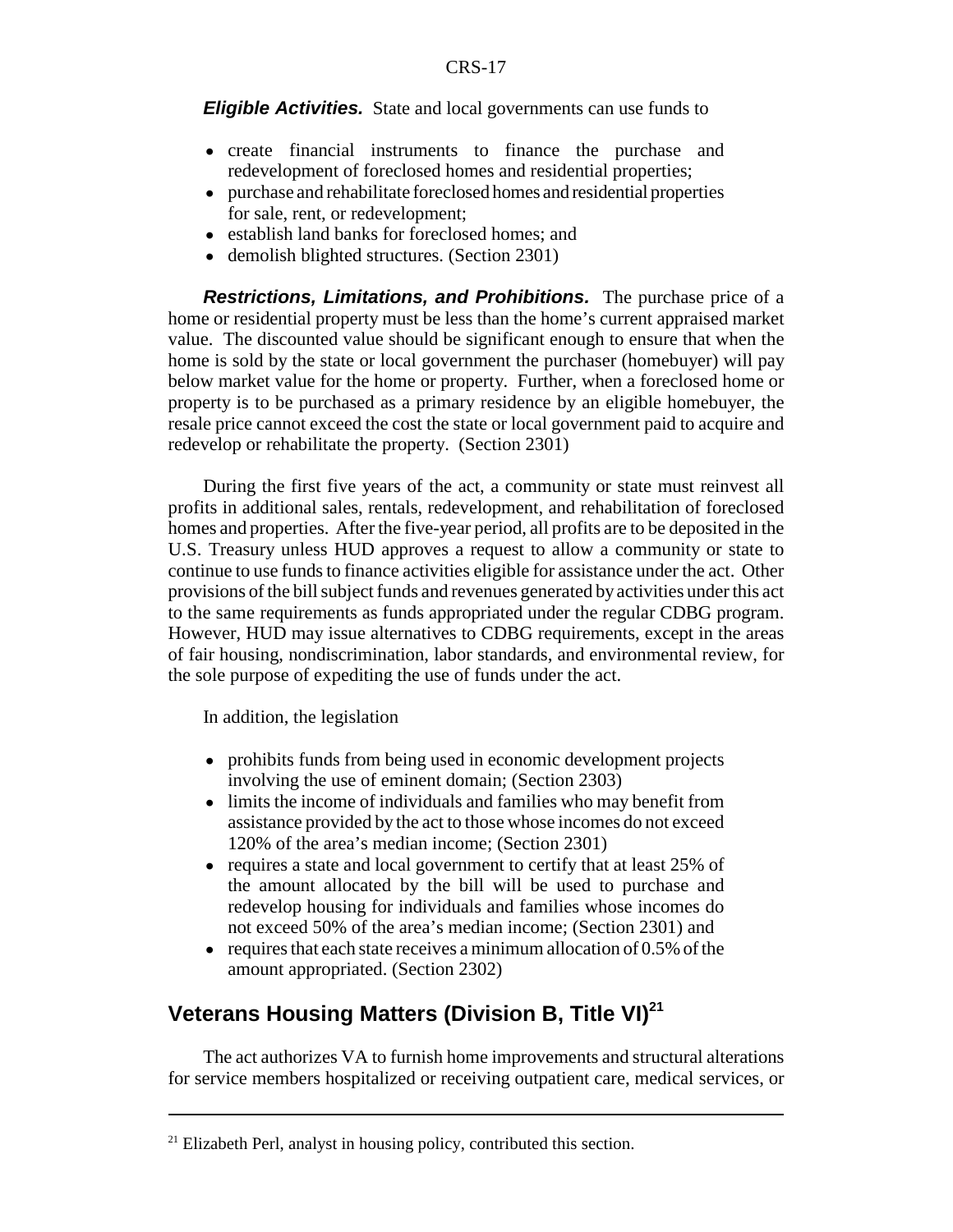*Eligible Activities.* State and local governments can use funds to

- ! create financial instruments to finance the purchase and redevelopment of foreclosed homes and residential properties;
- ! purchase and rehabilitate foreclosed homes and residential properties for sale, rent, or redevelopment;
- establish land banks for foreclosed homes; and
- demolish blighted structures. (Section 2301)

*Restrictions, Limitations, and Prohibitions.* The purchase price of a home or residential property must be less than the home's current appraised market value. The discounted value should be significant enough to ensure that when the home is sold by the state or local government the purchaser (homebuyer) will pay below market value for the home or property. Further, when a foreclosed home or property is to be purchased as a primary residence by an eligible homebuyer, the resale price cannot exceed the cost the state or local government paid to acquire and redevelop or rehabilitate the property. (Section 2301)

During the first five years of the act, a community or state must reinvest all profits in additional sales, rentals, redevelopment, and rehabilitation of foreclosed homes and properties. After the five-year period, all profits are to be deposited in the U.S. Treasury unless HUD approves a request to allow a community or state to continue to use funds to finance activities eligible for assistance under the act. Other provisions of the bill subject funds and revenues generated by activities under this act to the same requirements as funds appropriated under the regular CDBG program. However, HUD may issue alternatives to CDBG requirements, except in the areas of fair housing, nondiscrimination, labor standards, and environmental review, for the sole purpose of expediting the use of funds under the act.

In addition, the legislation

- prohibits funds from being used in economic development projects involving the use of eminent domain; (Section 2303)
- ! limits the income of individuals and families who may benefit from assistance provided by the act to those whose incomes do not exceed 120% of the area's median income; (Section 2301)
- requires a state and local government to certify that at least 25% of the amount allocated by the bill will be used to purchase and redevelop housing for individuals and families whose incomes do not exceed 50% of the area's median income; (Section 2301) and
- $\bullet$  requires that each state receives a minimum allocation of 0.5% of the amount appropriated. (Section 2302)

# **Veterans Housing Matters (Division B, Title VI)<sup>21</sup>**

The act authorizes VA to furnish home improvements and structural alterations for service members hospitalized or receiving outpatient care, medical services, or

 $21$  Elizabeth Perl, analyst in housing policy, contributed this section.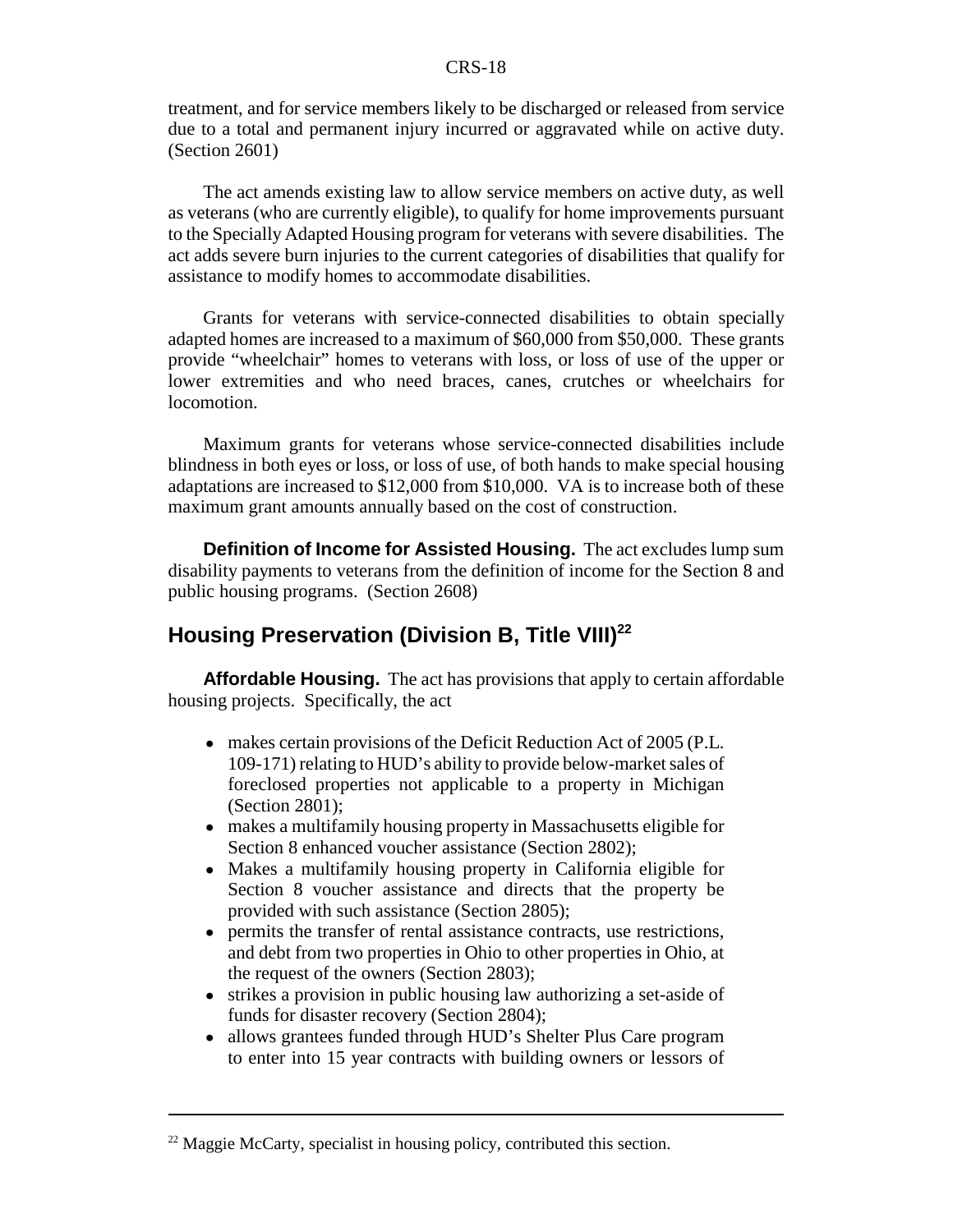treatment, and for service members likely to be discharged or released from service due to a total and permanent injury incurred or aggravated while on active duty. (Section 2601)

The act amends existing law to allow service members on active duty, as well as veterans (who are currently eligible), to qualify for home improvements pursuant to the Specially Adapted Housing program for veterans with severe disabilities. The act adds severe burn injuries to the current categories of disabilities that qualify for assistance to modify homes to accommodate disabilities.

Grants for veterans with service-connected disabilities to obtain specially adapted homes are increased to a maximum of \$60,000 from \$50,000. These grants provide "wheelchair" homes to veterans with loss, or loss of use of the upper or lower extremities and who need braces, canes, crutches or wheelchairs for locomotion.

Maximum grants for veterans whose service-connected disabilities include blindness in both eyes or loss, or loss of use, of both hands to make special housing adaptations are increased to \$12,000 from \$10,000. VA is to increase both of these maximum grant amounts annually based on the cost of construction.

**Definition of Income for Assisted Housing.** The act excludes lump sum disability payments to veterans from the definition of income for the Section 8 and public housing programs. (Section 2608)

# **Housing Preservation (Division B, Title VIII)**<sup>22</sup>

**Affordable Housing.** The act has provisions that apply to certain affordable housing projects. Specifically, the act

- makes certain provisions of the Deficit Reduction Act of 2005 (P.L. 109-171) relating to HUD's ability to provide below-market sales of foreclosed properties not applicable to a property in Michigan (Section 2801);
- makes a multifamily housing property in Massachusetts eligible for Section 8 enhanced voucher assistance (Section 2802);
- ! Makes a multifamily housing property in California eligible for Section 8 voucher assistance and directs that the property be provided with such assistance (Section 2805);
- ! permits the transfer of rental assistance contracts, use restrictions, and debt from two properties in Ohio to other properties in Ohio, at the request of the owners (Section 2803);
- strikes a provision in public housing law authorizing a set-aside of funds for disaster recovery (Section 2804);
- allows grantees funded through HUD's Shelter Plus Care program to enter into 15 year contracts with building owners or lessors of

 $22$  Maggie McCarty, specialist in housing policy, contributed this section.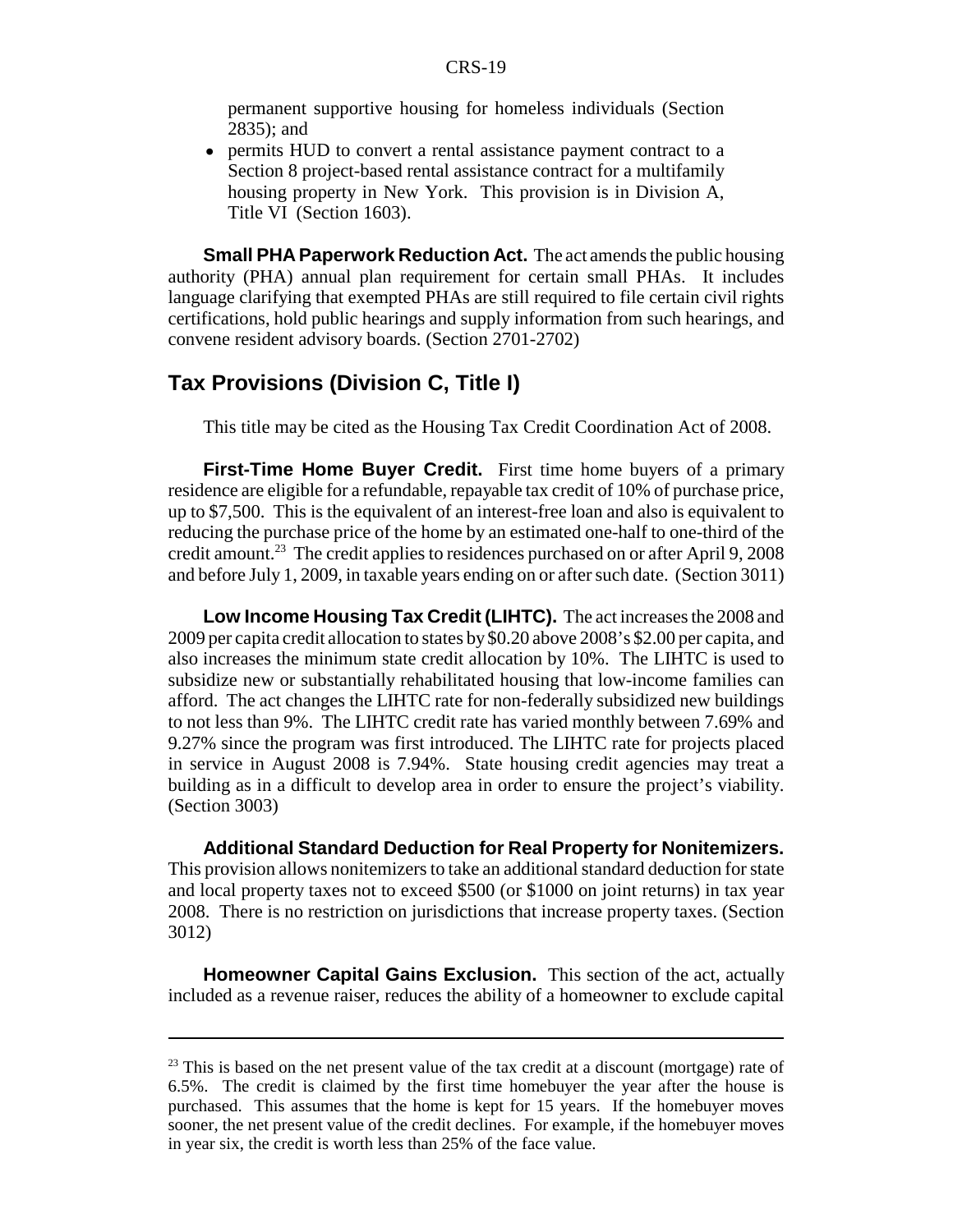permanent supportive housing for homeless individuals (Section 2835); and

• permits HUD to convert a rental assistance payment contract to a Section 8 project-based rental assistance contract for a multifamily housing property in New York. This provision is in Division A, Title VI (Section 1603).

**Small PHA Paperwork Reduction Act.** The act amends the public housing authority (PHA) annual plan requirement for certain small PHAs. It includes language clarifying that exempted PHAs are still required to file certain civil rights certifications, hold public hearings and supply information from such hearings, and convene resident advisory boards. (Section 2701-2702)

#### **Tax Provisions (Division C, Title I)**

This title may be cited as the Housing Tax Credit Coordination Act of 2008.

**First-Time Home Buyer Credit.** First time home buyers of a primary residence are eligible for a refundable, repayable tax credit of 10% of purchase price, up to \$7,500. This is the equivalent of an interest-free loan and also is equivalent to reducing the purchase price of the home by an estimated one-half to one-third of the credit amount.23 The credit applies to residences purchased on or after April 9, 2008 and before July 1, 2009, in taxable years ending on or after such date. (Section 3011)

**Low Income Housing Tax Credit (LIHTC).** The act increases the 2008 and 2009 per capita credit allocation to states by \$0.20 above 2008's \$2.00 per capita, and also increases the minimum state credit allocation by 10%. The LIHTC is used to subsidize new or substantially rehabilitated housing that low-income families can afford. The act changes the LIHTC rate for non-federally subsidized new buildings to not less than 9%. The LIHTC credit rate has varied monthly between 7.69% and 9.27% since the program was first introduced. The LIHTC rate for projects placed in service in August 2008 is 7.94%. State housing credit agencies may treat a building as in a difficult to develop area in order to ensure the project's viability. (Section 3003)

**Additional Standard Deduction for Real Property for Nonitemizers.** This provision allows nonitemizers to take an additional standard deduction for state and local property taxes not to exceed \$500 (or \$1000 on joint returns) in tax year 2008. There is no restriction on jurisdictions that increase property taxes. (Section 3012)

**Homeowner Capital Gains Exclusion.** This section of the act, actually included as a revenue raiser, reduces the ability of a homeowner to exclude capital

 $23$  This is based on the net present value of the tax credit at a discount (mortgage) rate of 6.5%. The credit is claimed by the first time homebuyer the year after the house is purchased. This assumes that the home is kept for 15 years. If the homebuyer moves sooner, the net present value of the credit declines. For example, if the homebuyer moves in year six, the credit is worth less than 25% of the face value.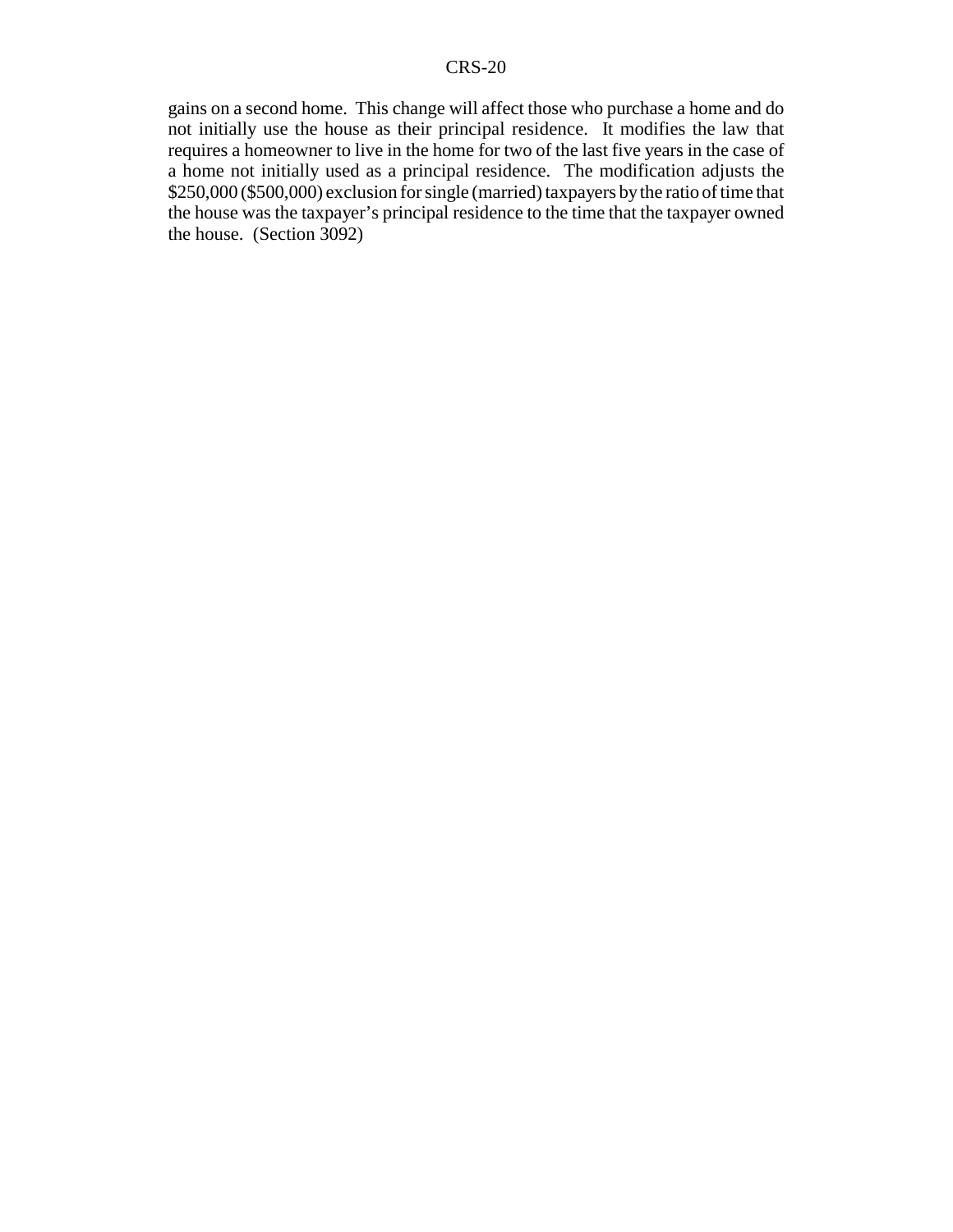gains on a second home. This change will affect those who purchase a home and do not initially use the house as their principal residence. It modifies the law that requires a homeowner to live in the home for two of the last five years in the case of a home not initially used as a principal residence. The modification adjusts the \$250,000 (\$500,000) exclusion for single (married) taxpayers by the ratio of time that the house was the taxpayer's principal residence to the time that the taxpayer owned the house. (Section 3092)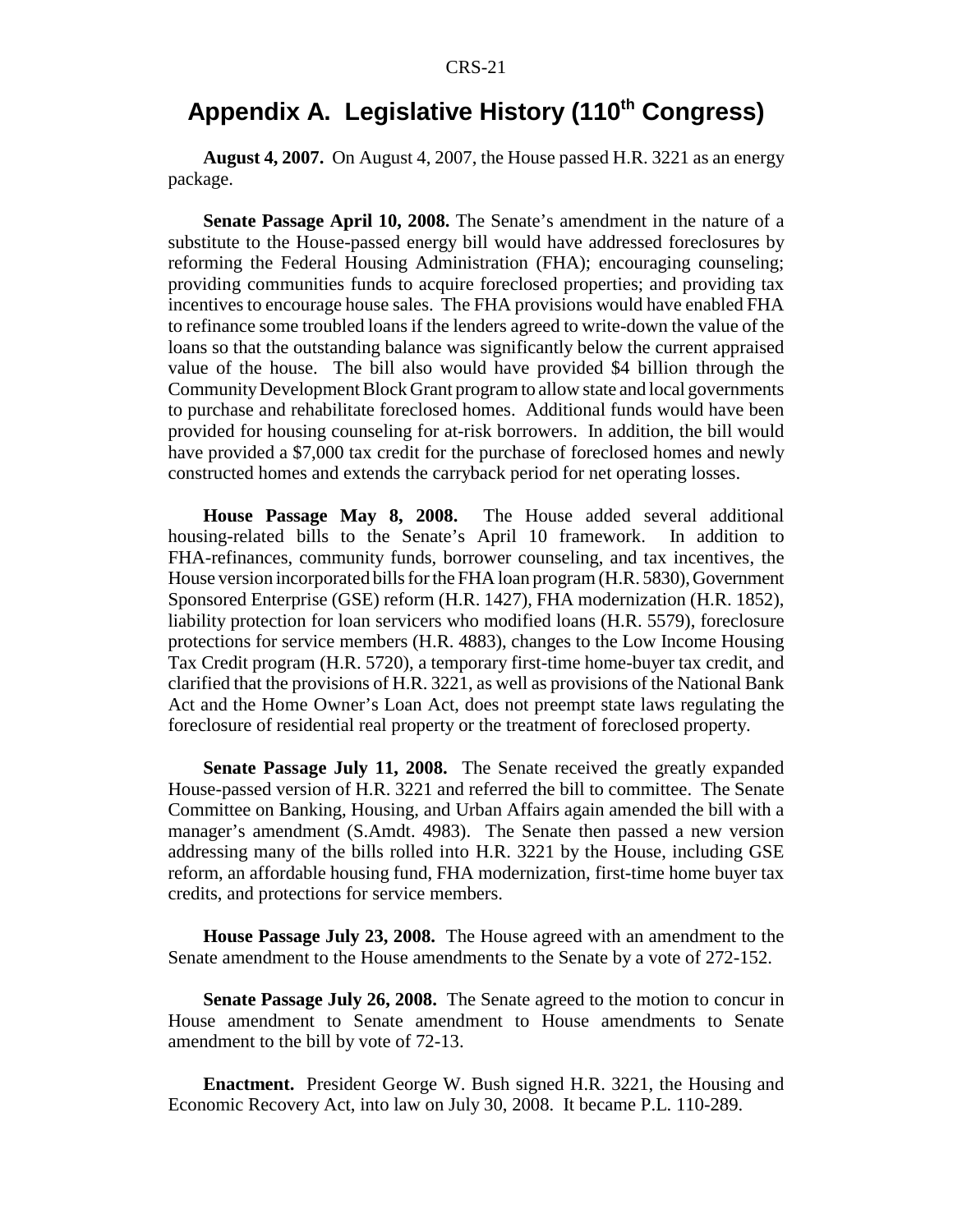# Appendix A. Legislative History (110<sup>th</sup> Congress)

**August 4, 2007.** On August 4, 2007, the House passed H.R. 3221 as an energy package.

**Senate Passage April 10, 2008.** The Senate's amendment in the nature of a substitute to the House-passed energy bill would have addressed foreclosures by reforming the Federal Housing Administration (FHA); encouraging counseling; providing communities funds to acquire foreclosed properties; and providing tax incentives to encourage house sales. The FHA provisions would have enabled FHA to refinance some troubled loans if the lenders agreed to write-down the value of the loans so that the outstanding balance was significantly below the current appraised value of the house. The bill also would have provided \$4 billion through the Community Development Block Grant program to allow state and local governments to purchase and rehabilitate foreclosed homes. Additional funds would have been provided for housing counseling for at-risk borrowers. In addition, the bill would have provided a \$7,000 tax credit for the purchase of foreclosed homes and newly constructed homes and extends the carryback period for net operating losses.

**House Passage May 8, 2008.** The House added several additional housing-related bills to the Senate's April 10 framework. In addition to FHA-refinances, community funds, borrower counseling, and tax incentives, the House version incorporated bills for the FHA loan program (H.R. 5830), Government Sponsored Enterprise (GSE) reform (H.R. 1427), FHA modernization (H.R. 1852), liability protection for loan servicers who modified loans (H.R. 5579), foreclosure protections for service members (H.R. 4883), changes to the Low Income Housing Tax Credit program (H.R. 5720), a temporary first-time home-buyer tax credit, and clarified that the provisions of H.R. 3221, as well as provisions of the National Bank Act and the Home Owner's Loan Act, does not preempt state laws regulating the foreclosure of residential real property or the treatment of foreclosed property.

**Senate Passage July 11, 2008.** The Senate received the greatly expanded House-passed version of H.R. 3221 and referred the bill to committee. The Senate Committee on Banking, Housing, and Urban Affairs again amended the bill with a manager's amendment (S.Amdt. 4983). The Senate then passed a new version addressing many of the bills rolled into H.R. 3221 by the House, including GSE reform, an affordable housing fund, FHA modernization, first-time home buyer tax credits, and protections for service members.

**House Passage July 23, 2008.** The House agreed with an amendment to the Senate amendment to the House amendments to the Senate by a vote of 272-152.

**Senate Passage July 26, 2008.** The Senate agreed to the motion to concur in House amendment to Senate amendment to House amendments to Senate amendment to the bill by vote of 72-13.

**Enactment.** President George W. Bush signed H.R. 3221, the Housing and Economic Recovery Act, into law on July 30, 2008. It became P.L. 110-289.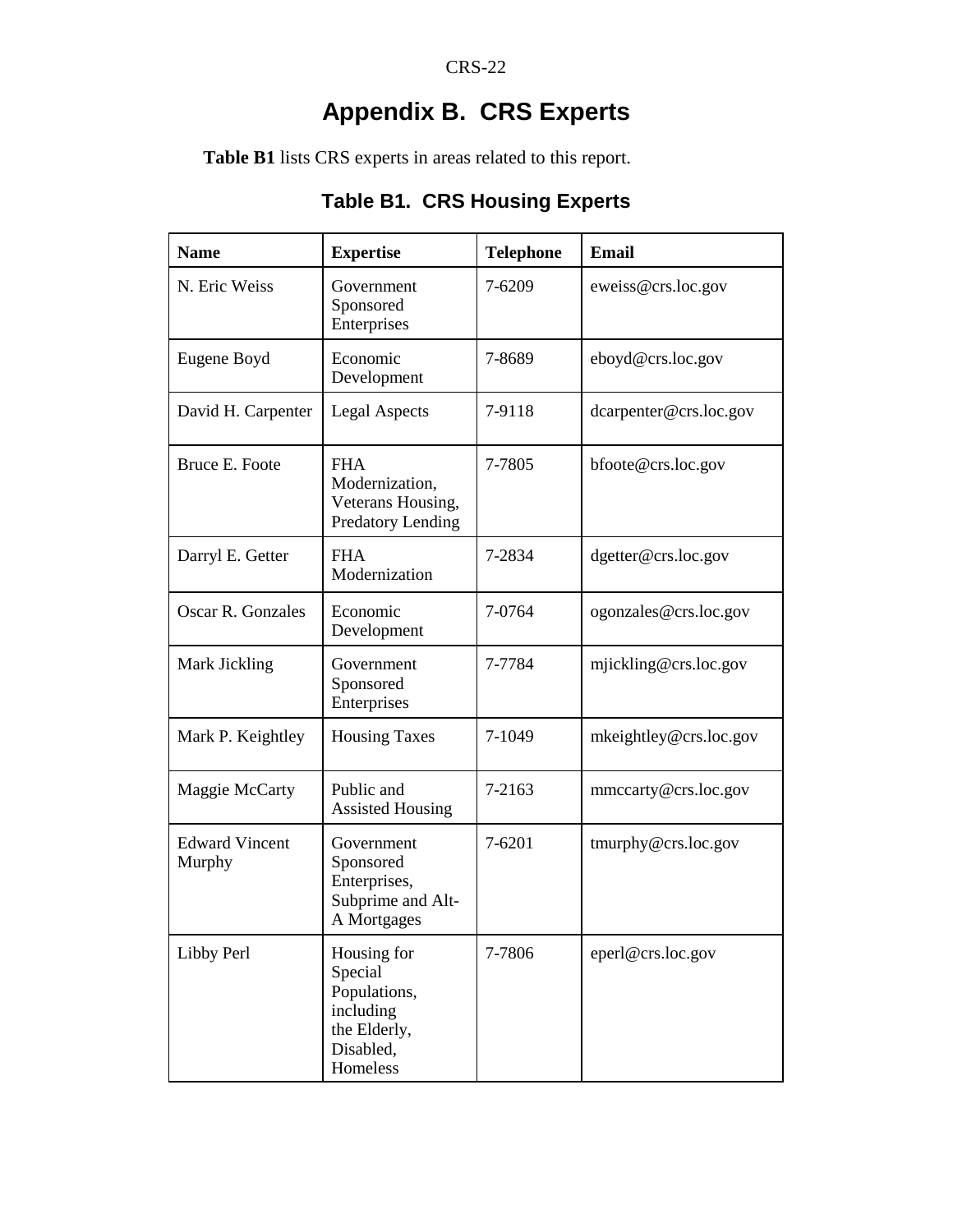# **Appendix B. CRS Experts**

**Table B1** lists CRS experts in areas related to this report.

| <b>Name</b>                     | <b>Expertise</b>                                                                             | <b>Telephone</b> | <b>Email</b>           |
|---------------------------------|----------------------------------------------------------------------------------------------|------------------|------------------------|
| N. Eric Weiss                   | Government<br>Sponsored<br>Enterprises                                                       | 7-6209           | eweiss@crs.loc.gov     |
| Eugene Boyd                     | Economic<br>Development                                                                      | 7-8689           | eboyd@crs.loc.gov      |
| David H. Carpenter              | <b>Legal Aspects</b>                                                                         | 7-9118           | dcarpenter@crs.loc.gov |
| Bruce E. Foote                  | <b>FHA</b><br>Modernization,<br>Veterans Housing,<br><b>Predatory Lending</b>                | 7-7805           | bfoote@crs.loc.gov     |
| Darryl E. Getter                | <b>FHA</b><br>Modernization                                                                  | 7-2834           | dgetter@crs.loc.gov    |
| Oscar R. Gonzales               | Economic<br>Development                                                                      | 7-0764           | ogonzales@crs.loc.gov  |
| Mark Jickling                   | Government<br>Sponsored<br>Enterprises                                                       | 7-7784           | mjickling@crs.loc.gov  |
| Mark P. Keightley               | <b>Housing Taxes</b>                                                                         | 7-1049           | mkeightley@crs.loc.gov |
| Maggie McCarty                  | Public and<br><b>Assisted Housing</b>                                                        | 7-2163           | mmccarty@crs.loc.gov   |
| <b>Edward Vincent</b><br>Murphy | Government<br>Sponsored<br>Enterprises,<br>Subprime and Alt-<br>A Mortgages                  | 7-6201           | tmurphy@crs.loc.gov    |
| Libby Perl                      | Housing for<br>Special<br>Populations,<br>including<br>the Elderly,<br>Disabled,<br>Homeless | 7-7806           | eperl@crs.loc.gov      |

# **Table B1. CRS Housing Experts**